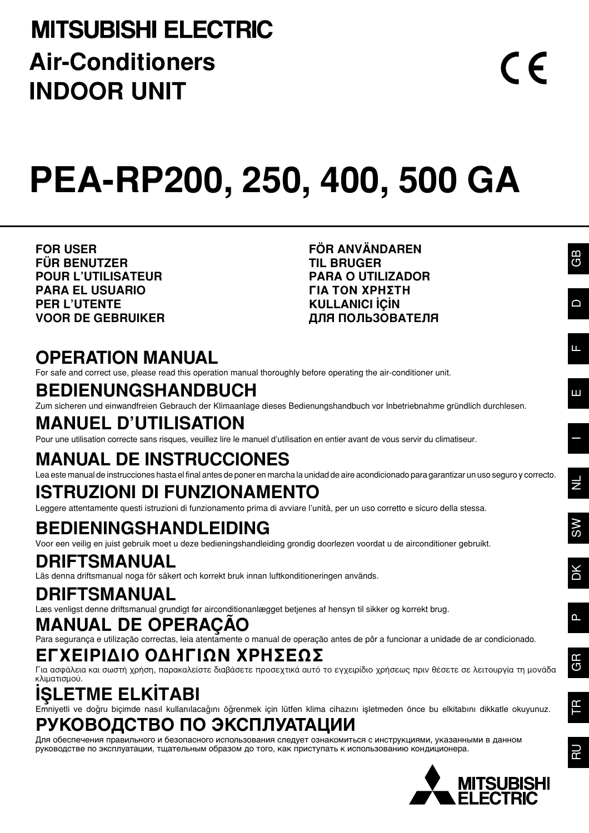## **MITSUBISHI ELECTRIC Air-Conditioners INDOOR UNIT**

# **PEA-RP200, 250, 400, 500 GA**

**FOR USER FÜR BENUTZER POUR L'UTILISATEUR PARA EL USUARIO PER L'UTENTE VOOR DE GEBRUIKER** **FÖR ANVÄNDAREN TIL BRUGER PARA O UTILIZADOR ΓΙΑ ΤΟΝ ΧΡΗΣΤΗ KULLANICI İÇİN ДЛЯ ПОЛЬЗОВАТЕЛЯ**

## **OPERATION MANUAL**

For safe and correct use, please read this operation manual thoroughly before operating the air-conditioner unit.

## **BEDIENUNGSHANDBUCH**

Zum sicheren und einwandfreien Gebrauch der Klimaanlage dieses Bedienungshandbuch vor Inbetriebnahme gründlich durchlesen.

## **MANUEL D'UTILISATION**

Pour une utilisation correcte sans risques, veuillez lire le manuel d'utilisation en entier avant de vous servir du climatiseur.

## **MANUAL DE INSTRUCCIONES**

Lea este manual de instrucciones hasta el final antes de poner en marcha la unidad de aire acondicionado para garantizar un uso seguro y correcto.

## **ISTRUZIONI DI FUNZIONAMENTO**

Leggere attentamente questi istruzioni di funzionamento prima di avviare l'unità, per un uso corretto e sicuro della stessa.

## **BEDIENINGSHANDLEIDING**

Voor een veilig en juist gebruik moet u deze bedieningshandleiding grondig doorlezen voordat u de airconditioner gebruikt.

## **DRIFTSMANUAL**

Läs denna driftsmanual noga för säkert och korrekt bruk innan luftkonditioneringen används.

## **DRIFTSMANUAL**

Læs venligst denne driftsmanual grundigt før airconditionanlægget betjenes af hensyn til sikker og korrekt brug.

## **MANUAL DE OPERAÇÃO**

Para segurança e utilização correctas, leia atentamente o manual de operação antes de pôr a funcionar a unidade de ar condicionado.

### **ΕΓΧΕΙΡΙΔΙΟ ΟΔΗΓΙΩΝ ΧΡΗΣΕΩΣ**

Για ασφάλεια και σωστή χρήση, παρακαλείστε διαβάσετε προσεχτικά αυτό το εγχειρίδιο χρήσεως πριν θέσετε σε λειτουργία τη μονάδα κλιματισμού.

## **ISLETME ELKITABI**

Emniyetli ve doğru biçimde nasıl kullanılacağını öğrenmek için lütfen klima cihazını işletmeden önce bu elkitabını dikkatle okuyunuz.

## **РУКОВОДСТВО ПО ЭКСПЛУАТАЦИИ**

Для обеспечения правильного и безопасного использования следует ознакомиться с инструкциями, указанными в данном руководстве по эксплуатации, тщательным образом до того, как приступать к использованию кондиционера.



 $\epsilon$ 

DK SW NL I E

SW

 $\equiv$ 

RU TR GR

RU

FΒ

P

GR

LL.

Ш

D

GB

GB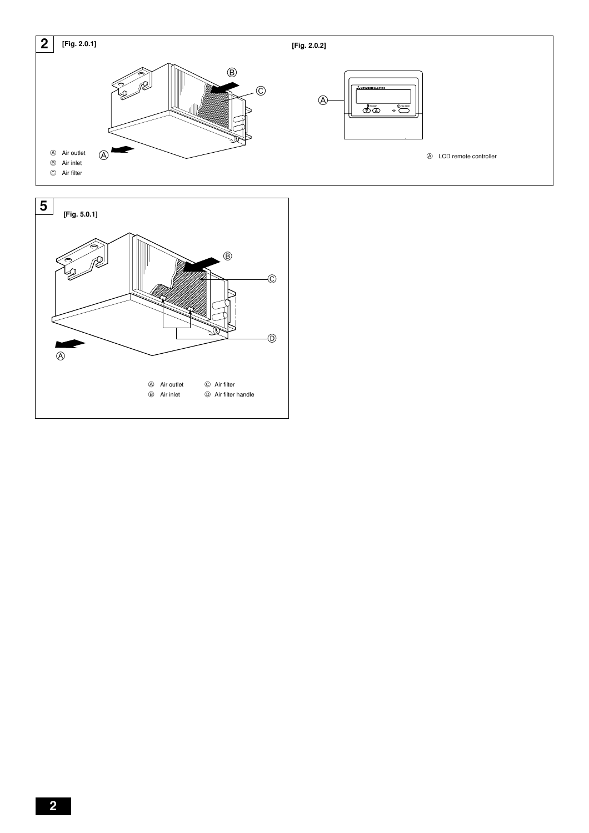

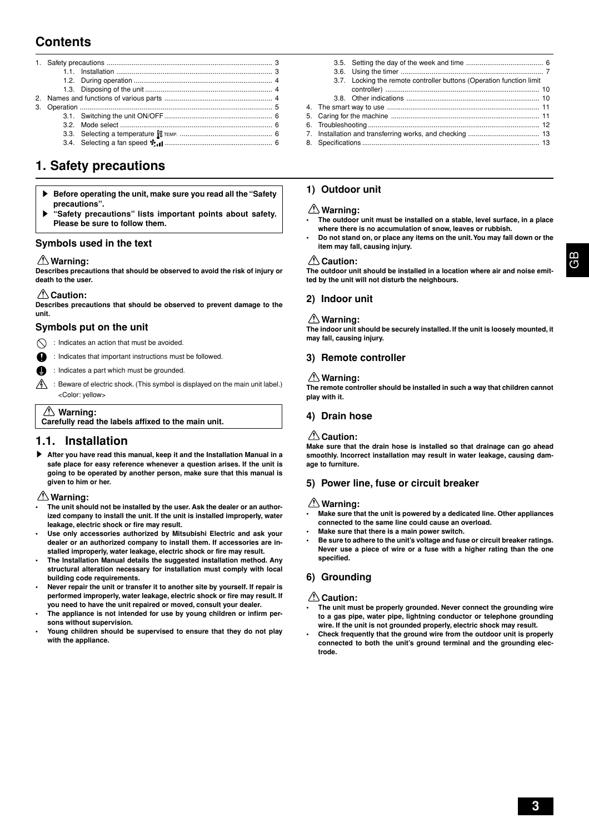### **Contents**

3.4. Selecting a fan speed ........................................................ 6

### **1. Safety precautions**

- **Before operating the unit, make sure you read all the "Safety" precautions".**
- "Safety precautions" lists important points about safety. **Please be sure to follow them.**

### **Symbols used in the text**

### **Warning:**

**Describes precautions that should be observed to avoid the risk of injury or death to the user.**

### **Caution:**

**Describes precautions that should be observed to prevent damage to the unit.**

### **Symbols put on the unit**

 $\bigcirc$  : Indicates an action that must be avoided.

- : Indicates that important instructions must be followed.
- : Indicates a part which must be grounded.
- $\sqrt{\frac{A}{\Lambda}}$ : Beware of electric shock. (This symbol is displayed on the main unit label.) <Color: yellow>

### **Warning:**

**Carefully read the labels affixed to the main unit.**

### **1.1. Installation**

s **After you have read this manual, keep it and the Installation Manual in a safe place for easy reference whenever a question arises. If the unit is going to be operated by another person, make sure that this manual is given to him or her.**

### **Warning:**

- **• The unit should not be installed by the user. Ask the dealer or an authorized company to install the unit. If the unit is installed improperly, water leakage, electric shock or fire may result.**
- **• Use only accessories authorized by Mitsubishi Electric and ask your dealer or an authorized company to install them. If accessories are installed improperly, water leakage, electric shock or fire may result.**
- **• The Installation Manual details the suggested installation method. Any structural alteration necessary for installation must comply with local building code requirements.**
- **Never repair the unit or transfer it to another site by yourself. If repair is performed improperly, water leakage, electric shock or fire may result. If you need to have the unit repaired or moved, consult your dealer.**
- **• The appliance is not intended for use by young children or infirm persons without supervision.**
- **Young children should be supervised to ensure that they do not play with the appliance.**

|  | 3.7. Locking the remote controller buttons (Operation function limit) |  |
|--|-----------------------------------------------------------------------|--|
|  |                                                                       |  |
|  |                                                                       |  |
|  |                                                                       |  |
|  |                                                                       |  |
|  |                                                                       |  |
|  |                                                                       |  |
|  |                                                                       |  |

### **1) Outdoor unit**

### **Warning:**

- **• The outdoor unit must be installed on a stable, level surface, in a place where there is no accumulation of snow, leaves or rubbish.**
- **• Do not stand on, or place any items on the unit. You may fall down or the item may fall, causing injury.**

### **Caution:**

**The outdoor unit should be installed in a location where air and noise emitted by the unit will not disturb the neighbours.**

### **2) Indoor unit**

### **Warning:**

**The indoor unit should be securely installed. If the unit is loosely mounted, it may fall, causing injury.**

### **3) Remote controller**

### **Warning:**

**The remote controller should be installed in such a way that children cannot play with it.**

### **4) Drain hose**

### **△△Caution:**

**Make sure that the drain hose is installed so that drainage can go ahead smoothly. Incorrect installation may result in water leakage, causing damage to furniture.**

### **5) Power line, fuse or circuit breaker**

### **Warning:**

- **• Make sure that the unit is powered by a dedicated line. Other appliances connected to the same line could cause an overload.**
- **• Make sure that there is a main power switch.**
- **• Be sure to adhere to the unit's voltage and fuse or circuit breaker ratings. Never use a piece of wire or a fuse with a higher rating than the one specified.**

### **6) Grounding**

### **Caution:**

- **• The unit must be properly grounded. Never connect the grounding wire to a gas pipe, water pipe, lightning conductor or telephone grounding wire. If the unit is not grounded properly, electric shock may result.**
- **• Check frequently that the ground wire from the outdoor unit is properly connected to both the unit's ground terminal and the grounding electrode.**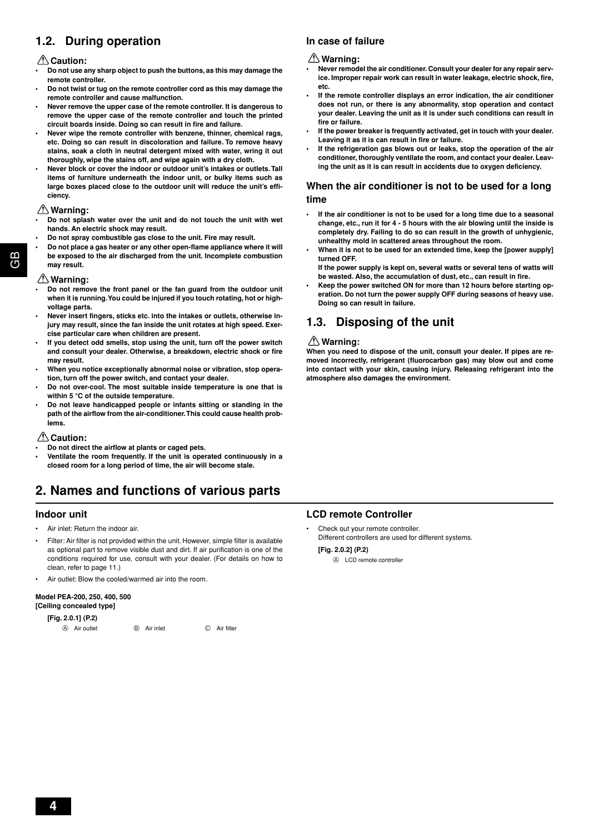### **1.2. During operation**

### **Caution:**

- **• Do not use any sharp object to push the buttons, as this may damage the remote controller.**
- **• Do not twist or tug on the remote controller cord as this may damage the remote controller and cause malfunction.**
- **Never remove the upper case of the remote controller. It is dangerous to remove the upper case of the remote controller and touch the printed circuit boards inside. Doing so can result in fire and failure.**
- **Never wipe the remote controller with benzene, thinner, chemical rags, etc. Doing so can result in discoloration and failure. To remove heavy stains, soak a cloth in neutral detergent mixed with water, wring it out thoroughly, wipe the stains off, and wipe again with a dry cloth.**
- **Never block or cover the indoor or outdoor unit's intakes or outlets. Tall items of furniture underneath the indoor unit, or bulky items such as large boxes placed close to the outdoor unit will reduce the unit's efficiency.**

### **Warning:**

- **• Do not splash water over the unit and do not touch the unit with wet hands. An electric shock may result.**
- **• Do not spray combustible gas close to the unit. Fire may result.**
- **• Do not place a gas heater or any other open-flame appliance where it will be exposed to the air discharged from the unit. Incomplete combustion may result.**

### **Warning:**

ස<br>ෆ

- **• Do not remove the front panel or the fan guard from the outdoor unit when it is running. You could be injured if you touch rotating, hot or highvoltage parts.**
- **Never insert fingers, sticks etc. into the intakes or outlets, otherwise injury may result, since the fan inside the unit rotates at high speed. Exercise particular care when children are present.**
- **• If you detect odd smells, stop using the unit, turn off the power switch and consult your dealer. Otherwise, a breakdown, electric shock or fire may result.**
- **• When you notice exceptionally abnormal noise or vibration, stop operation, turn off the power switch, and contact your dealer.**
- **• Do not over-cool. The most suitable inside temperature is one that is within 5 °C of the outside temperature.**
- **• Do not leave handicapped people or infants sitting or standing in the path of the airflow from the air-conditioner. This could cause health problems.**

### **Caution:**

- **• Do not direct the airflow at plants or caged pets.**
- **Ventilate the room frequently. If the unit is operated continuously in a closed room for a long period of time, the air will become stale.**

### **2. Names and functions of various parts**

### **Indoor unit**

- Air inlet: Return the indoor air.
- Filter: Air filter is not provided within the unit. However, simple filter is available as optional part to remove visible dust and dirt. If air purification is one of the conditions required for use, consult with your dealer. (For details on how to clean, refer to page 11.)
- Air outlet: Blow the cooled/warmed air into the room.

### **Model PEA-200, 250, 400, 500**

| [Ceiling concealed type] |  |
|--------------------------|--|
| [Fig. 2.0.11 (P.2)       |  |

| A Air outlet | (B) Air inlet | C Air filter |
|--------------|---------------|--------------|

### **In case of failure**

### **Warning:**

- **Never remodel the air conditioner. Consult your dealer for any repair service. Improper repair work can result in water leakage, electric shock, fire, etc.**
- **• If the remote controller displays an error indication, the air conditioner does not run, or there is any abnormality, stop operation and contact your dealer. Leaving the unit as it is under such conditions can result in fire or failure.**
- **• If the power breaker is frequently activated, get in touch with your dealer. Leaving it as it is can result in fire or failure.**
- **• If the refrigeration gas blows out or leaks, stop the operation of the air conditioner, thoroughly ventilate the room, and contact your dealer. Leaving the unit as it is can result in accidents due to oxygen deficiency.**

### **When the air conditioner is not to be used for a long time**

- **• If the air conditioner is not to be used for a long time due to a seasonal change, etc., run it for 4 - 5 hours with the air blowing until the inside is completely dry. Failing to do so can result in the growth of unhygienic, unhealthy mold in scattered areas throughout the room.**
- **• When it is not to be used for an extended time, keep the [power supply] turned OFF.**
	- **If the power supply is kept on, several watts or several tens of watts will be wasted. Also, the accumulation of dust, etc., can result in fire.**
- **Keep the power switched ON for more than 12 hours before starting operation. Do not turn the power supply OFF during seasons of heavy use. Doing so can result in failure.**

### **1.3. Disposing of the unit**

### **Warning:**

**When you need to dispose of the unit, consult your dealer. If pipes are removed incorrectly, refrigerant (fluorocarbon gas) may blow out and come into contact with your skin, causing injury. Releasing refrigerant into the atmosphere also damages the environment.**

### **LCD remote Controller**

• Check out your remote controller. Different controllers are used for different systems.

**[Fig. 2.0.2] (P.2)**

A LCD remote controller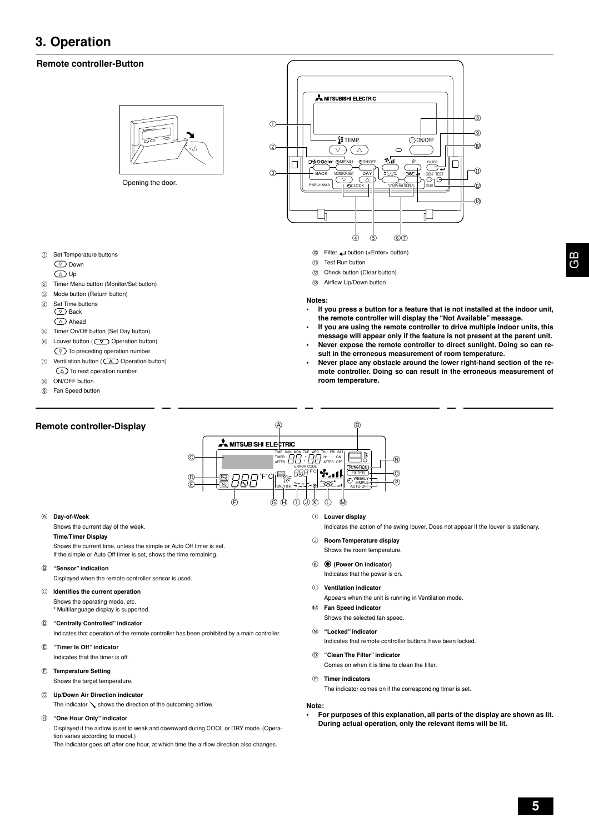### **3. Operation**

### **Remote controller-Button**



Opening the door.

- 1 Set Temperature buttons
	- Down
	- Up
- 2 Timer Menu button (Monitor/Set button)
- 3 Mode button (Return button)
- 4 Set Time buttons  $\circledcirc$  Back
	- Ahead
- 5 Timer On/Off button (Set Day button)
- 6 Louver button ( 0 Operation button)  $\circledcirc$  To preceding operation number.
- 7 Ventilation button (  $\Delta$  Operation button)
- $\circlearrowright$  To next operation number. 8 ON/OFF button
- 9 Fan Speed button

### **Remote controller-Display**



- 0 Filter button (<Enter> button)
- **11** Test Run button
- **12** Check button (Clear button)
- (3) Airflow Up/Down button

### **Notes:**

- **• If you press a button for a feature that is not installed at the indoor unit, the remote controller will display the "Not Available" message.**
- **• If you are using the remote controller to drive multiple indoor units, this message will appear only if the feature is not present at the parent unit.**
- **Never expose the remote controller to direct sunlight. Doing so can result in the erroneous measurement of room temperature.**
- **Never place any obstacle around the lower right-hand section of the remote controller. Doing so can result in the erroneous measurement of room temperature.**



#### A **Day-of-Week**

Shows the current day of the week.

### **Time/Timer Display**

Shows the current time, unless the simple or Auto Off timer is set. If the simple or Auto Off timer is set, shows the time remaining.

B **"Sensor" indication**

Displayed when the remote controller sensor is used.

C **Identifies the current operation** Shows the operating mode, etc.

\* Multilanguage display is supported.

- D **"Centrally Controlled" indicator**
- Indicates that operation of the remote controller has been prohibited by a main controller. E **"Timer Is Off" indicator**
- Indicates that the timer is off.
- F **Temperature Setting**

Shows the target temperature.

G **Up/Down Air Direction indicator**

The indicator  $\diagdown$  shows the direction of the outcoming airflow.

### H **"One Hour Only" indicator**

Displayed if the airflow is set to weak and downward during COOL or DRY mode. (Operation varies according to model.) The indicator goes off after one hour, at which time the airflow direction also changes.

I **Louver display**

Indicates the action of the swing louver. Does not appear if the louver is stationary.

- J **Room Temperature display** Shows the room temperature.
- K **(Power On indicator)**

Indicates that the power is on.

L **Ventilation indicator**

Appears when the unit is running in Ventilation mode.

M **Fan Speed indicator**

Shows the selected fan speed.

N **"Locked" indicator**

Indicates that remote controller buttons have been locked.

O **"Clean The Filter" indicator**

Comes on when it is time to clean the filter.

P **Timer indicators**

The indicator comes on if the corresponding timer is set.

#### **Note:**

**• For purposes of this explanation, all parts of the display are shown as lit. During actual operation, only the relevant items will be lit.**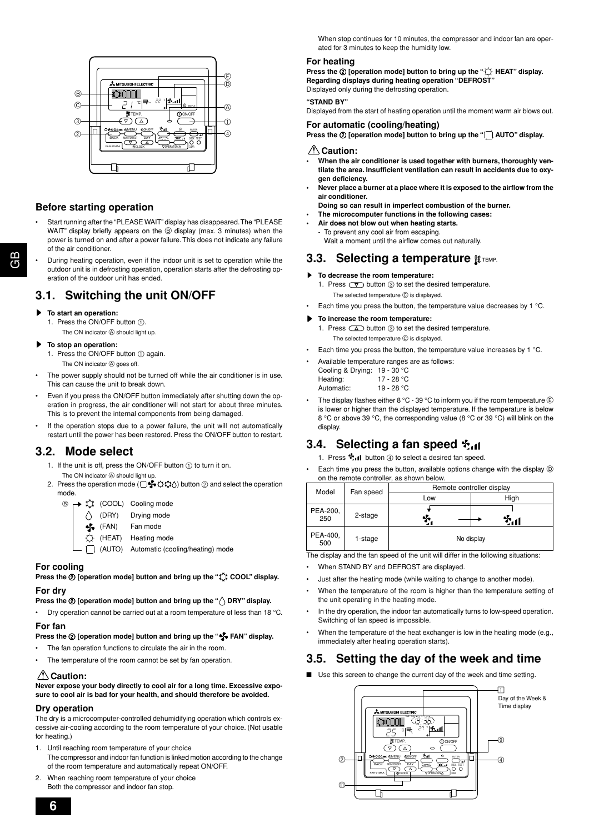

### **Before starting operation**

- Start running after the "PLEASE WAIT" display has disappeared. The "PLEASE WAIT" display briefly appears on the  $@$  display (max. 3 minutes) when the power is turned on and after a power failure. This does not indicate any failure of the air conditioner.
- During heating operation, even if the indoor unit is set to operation while the outdoor unit is in defrosting operation, operation starts after the defrosting operation of the outdoor unit has ended.

### **3.1. Switching the unit ON/OFF**

### s **To start an operation:**

- 1. Press the ON/OFF button (1).
	- The ON indicator  $\circledA$  should light up.

### To stop an operation:

- 1. Press the ON/OFF button  $(1)$  again. The ON indicator  $\widehat{\otimes}$  goes off.
- The power supply should not be turned off while the air conditioner is in use. This can cause the unit to break down.
- Even if you press the ON/OFF button immediately after shutting down the operation in progress, the air conditioner will not start for about three minutes. This is to prevent the internal components from being damaged.
- If the operation stops due to a power failure, the unit will not automatically restart until the power has been restored. Press the ON/OFF button to restart.

### **3.2. Mode select**

- 1. If the unit is off, press the ON/OFF button  $\textcircled{\tiny{1}}$  to turn it on.
- The ON indicator  $\widehat{\otimes}$  should light up. 2. Press the operation mode ( $\Box$ )  $\Box$   $\Diamond$   $\Diamond$   $\Diamond$  button 2 and select the operation mode.
	- $\circledcirc$   $\mapsto$   $\circledcirc\!\!\downarrow$  (COOL) Cooling mode  $\bigwedge$  (DRY) Drying mode (FAN) Fan mode (HEAT) Heating mode
		- $\Box$  (AUTO) Automatic (cooling/heating) mode

### **For cooling**

**Press the**  $\oslash$  **[operation mode] button and bring up the "** $\breve{\downarrow}$ **" COOL" display. For dry**

### **Press the**  $\oslash$  **[operation mode] button and bring up the "** $\wedge$  **DRY" display.**

• Dry operation cannot be carried out at a room temperature of less than 18  $^{\circ}$ C.

#### **For fan**

### **Press the**  $\Omega$  **[operation mode] button and bring up the "** $\mathcal{F}_{\mathbf{v}}$  **FAN" display.**

- The fan operation functions to circulate the air in the room.
- The temperature of the room cannot be set by fan operation.

### **△
Caution:**

**Never expose your body directly to cool air for a long time. Excessive exposure to cool air is bad for your health, and should therefore be avoided.**

### **Dry operation**

The dry is a microcomputer-controlled dehumidifying operation which controls excessive air-cooling according to the room temperature of your choice. (Not usable for heating.)

- 1. Until reaching room temperature of your choice The compressor and indoor fan function is linked motion according to the change of the room temperature and automatically repeat ON/OFF.
- 2. When reaching room temperature of your choice Both the compressor and indoor fan stop.

When stop continues for 10 minutes, the compressor and indoor fan are operated for 3 minutes to keep the humidity low.

### **For heating**

**Press the**  $Q$  **[operation mode] button to bring up the "** $\bigcirc$  **HEAT" display. Regarding displays during heating operation "DEFROST"** Displayed only during the defrosting operation.

**"STAND BY"**

Displayed from the start of heating operation until the moment warm air blows out.

### **For automatic (cooling/heating)**

**Press the**  $Q$  **[operation mode] button to bring up the "** $\Box$  **AUTO" display.** 

### **Caution:**

- **• When the air conditioner is used together with burners, thoroughly ventilate the area. Insufficient ventilation can result in accidents due to oxygen deficiency.**
- **Never place a burner at a place where it is exposed to the airflow from the air conditioner.**
- **Doing so can result in imperfect combustion of the burner.**
- **• The microcomputer functions in the following cases:**
- **• Air does not blow out when heating starts.** To prevent any cool air from escaping.
	- Wait a moment until the airflow comes out naturally.

### **3.3. Selecting a temperature**  $\text{H}$  **TEMP.**

- $\blacktriangleright$  To decrease the room temperature:
	- 1. Press  $\circledcirc$  button  $\circledcirc$  to set the desired temperature. The selected temperature  $\circled{c}$  is displayed.
- Each time you press the button, the temperature value decreases by 1 °C.

### To increase the room temperature:

- 1. Press  $\Box$  button  $\textcircled{3}$  to set the desired temperature. The selected temperature  $\circled{c}$  is displayed.
- Each time you press the button, the temperature value increases by 1 °C.
- Available temperature ranges are as follows:
	- Cooling & Drying: 19 30 °C Heating: 17 - 28 °C Automatic: 19 - 28 °C
- The display flashes either 8 °C 39 °C to inform you if the room temperature  $(E)$ is lower or higher than the displayed temperature. If the temperature is below 8 °C or above 39 °C, the corresponding value (8 °C or 39 °C) will blink on the display.

### **3.4.** Selecting a fan speed  $\mathbf{\hat{r}}_{\text{d}}$

1. Press  $\ddagger$ : I button  $4$  to select a desired fan speed.

Each time you press the button, available options change with the display  $\circledD$ on the remote controller, as shown below.

| Model                      | Fan speed | Remote controller display |      |  |
|----------------------------|-----------|---------------------------|------|--|
|                            |           | Low                       | High |  |
| PEA-200,<br>250            | 2-stage   |                           |      |  |
| PEA-400,<br>1-stage<br>500 |           | No display                |      |  |

The display and the fan speed of the unit will differ in the following situations:

• When STAND BY and DEFROST are displayed.

- Just after the heating mode (while waiting to change to another mode).
- When the temperature of the room is higher than the temperature setting of the unit operating in the heating mode.
- In the dry operation, the indoor fan automatically turns to low-speed operation. Switching of fan speed is impossible.
- When the temperature of the heat exchanger is low in the heating mode (e.g., immediately after heating operation starts).

### **3.5. Setting the day of the week and time**

■ Use this screen to change the current day of the week and time setting.



**6**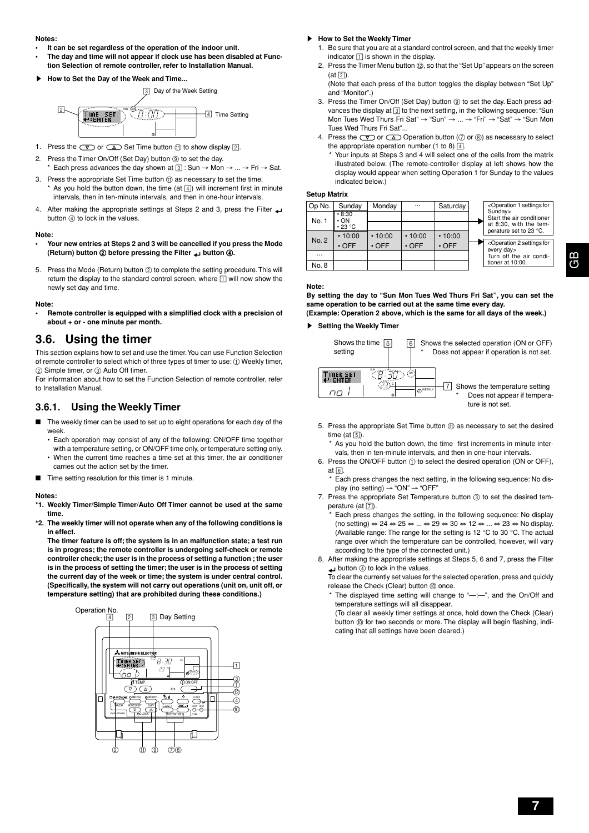#### **Notes:**

- **• It can be set regardless of the operation of the indoor unit.**
- **• The day and time will not appear if clock use has been disabled at Function Selection of remote controller, refer to Installation Manual.**
- s **How to Set the Day of the Week and Time...**



- 1. Press the  $\overline{\text{y}}$  or  $\overline{\text{A}}$  Set Time button  $\textcircled{1}$  to show display  $\boxed{2}$ .
- 2. Press the Timer On/Off (Set Day) button (9) to set the day. Each press advances the day shown at  $\boxed{3}$  : Sun  $\rightarrow$  Mon  $\rightarrow$  ...  $\rightarrow$  Fri  $\rightarrow$  Sat.
- 3. Press the appropriate Set Time button (i) as necessary to set the time. As you hold the button down, the time (at  $\boxed{4}$ ) will increment first in minute intervals, then in ten-minute intervals, and then in one-hour intervals.
- 4. After making the appropriate settings at Steps 2 and 3, press the Filter button  $(4)$  to lock in the values.

#### **Note:**

- **Your new entries at Steps 2 and 3 will be cancelled if you press the Mode (Return) button** 2 **before pressing the Filter button** 4**.**
- 5. Press the Mode (Return) button 2 to complete the setting procedure. This will return the display to the standard control screen, where  $\boxed{1}$  will now show the newly set day and time.

#### **Note:**

**• Remote controller is equipped with a simplified clock with a precision of about + or - one minute per month.**

### **3.6. Using the timer**

This section explains how to set and use the timer. You can use Function Selection of remote controller to select which of three types of timer to use: 1 Weekly timer,  $\oslash$  Simple timer, or  $\oslash$  Auto Off timer.

For information about how to set the Function Selection of remote controller, refer to Installation Manual.

### **3.6.1. Using the Weekly Timer**

- The weekly timer can be used to set up to eight operations for each day of the week.
	- Each operation may consist of any of the following: ON/OFF time together with a temperature setting, or ON/OFF time only, or temperature setting only. • When the current time reaches a time set at this timer, the air conditioner
	- carries out the action set by the timer.
- Time setting resolution for this timer is 1 minute.

#### **Notes:**

- **\*1. Weekly Timer/Simple Timer/Auto Off Timer cannot be used at the same time.**
- **\*2. The weekly timer will not operate when any of the following conditions is in effect.**

**The timer feature is off; the system is in an malfunction state; a test run is in progress; the remote controller is undergoing self-check or remote controller check; the user is in the process of setting a function ; the user is in the process of setting the timer; the user is in the process of setting the current day of the week or time; the system is under central control. (Specifically, the system will not carry out operations (unit on, unit off, or temperature setting) that are prohibited during these conditions.)**



#### **How to Set the Weekly Timer**

- 1. Be sure that you are at a standard control screen, and that the weekly timer indicator  $\boxed{1}$  is shown in the display.
- 2. Press the Timer Menu button (2), so that the "Set Up" appears on the screen  $(at \vert 2)$ .
- (Note that each press of the button toggles the display between "Set Up" and "Monitor".)
- 3. Press the Timer On/Off (Set Day) button  $@$  to set the day. Each press advances the display at 3 to the next setting, in the following sequence: "Sun Mon Tues Wed Thurs Fri Sat" → "Sun" → ... → "Fri" → "Sat" → "Sun Mon Tues Wed Thurs Fri Sat"...
- 4. Press the  $\text{I}_\mathcal{D}$  or  $\text{I}_\mathcal{D}$  Operation button ( $\text{I}_\mathcal{D}$  or  $\text{I}_\mathcal{D}$ ) as necessary to select the appropriate operation number (1 to 8)  $\boxed{4}$ .
	- Your inputs at Steps 3 and 4 will select one of the cells from the matrix illustrated below. (The remote-controller display at left shows how the display would appear when setting Operation 1 for Sunday to the values indicated below.)

### **Setup Matrix**





**By setting the day to "Sun Mon Tues Wed Thurs Fri Sat", you can set the same operation to be carried out at the same time every day. (Example: Operation 2 above, which is the same for all days of the week.)**

#### $\blacktriangleright$  Setting the Weekly Timer



- 5. Press the appropriate Set Time button  $@$  as necessary to set the desired time (at  $\boxed{5}$ ).
	- As you hold the button down, the time first increments in minute intervals, then in ten-minute intervals, and then in one-hour intervals.
- 6. Press the ON/OFF button (1) to select the desired operation (ON or OFF), at 6.
	- \* Each press changes the next setting, in the following sequence: No display (no setting) → "ON" → "OFF"
- 7. Press the appropriate Set Temperature button 3 to set the desired temperature (at [7])
	- Each press changes the setting, in the following sequence: No display (no setting) ⇔ 24 ⇔ 25 ⇔ ... ⇔ 29 ⇔ 30 ⇔ 12 ⇔ ... ⇔ 23 ⇔ No display. (Available range: The range for the setting is 12 °C to 30 °C. The actual range over which the temperature can be controlled, however, will vary according to the type of the connected unit.)
- 8. After making the appropriate settings at Steps 5, 6 and 7, press the Filter **button**  $\textcircled{4}$  to lock in the values.

To clear the currently set values for the selected operation, press and quickly release the Check (Clear) button @ once.

The displayed time setting will change to "-:-", and the On/Off and temperature settings will all disappear.

(To clear all weekly timer settings at once, hold down the Check (Clear) button  $@$  for two seconds or more. The display will begin flashing, indicating that all settings have been cleared.)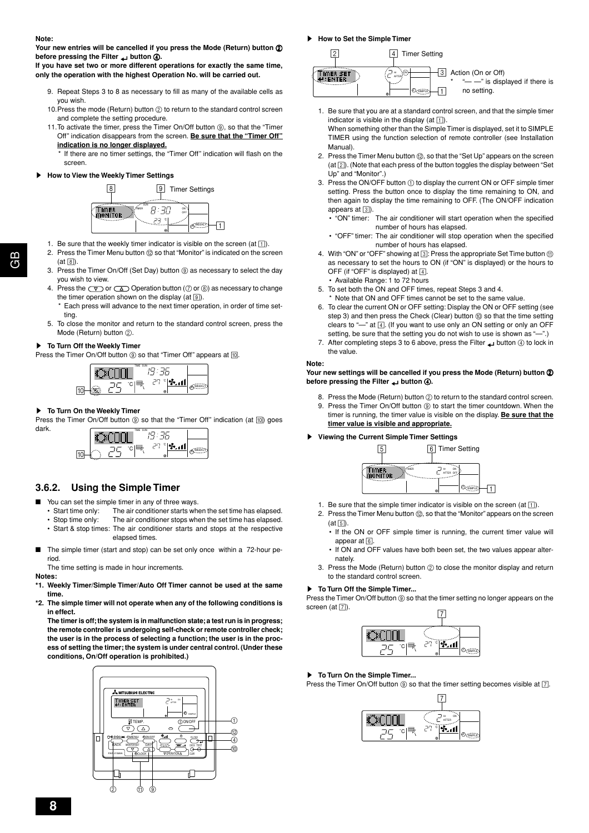**Your new entries will be cancelled if you press the Mode (Return) button** 2 **before pressing the Filter button** 4**.**

**If you have set two or more different operations for exactly the same time, only the operation with the highest Operation No. will be carried out.**

- 9. Repeat Steps 3 to 8 as necessary to fill as many of the available cells as you wish.
- 10. Press the mode (Return) button  $@$  to return to the standard control screen and complete the setting procedure.
- 11. To activate the timer, press the Timer On/Off button (9), so that the "Timer Off" indication disappears from the screen. **Be sure that the "Timer Off" indication is no longer displayed.**

If there are no timer settings, the "Timer Off" indication will flash on the screen.

### **How to View the Weekly Timer Settings**



- 1. Be sure that the weekly timer indicator is visible on the screen (at  $\boxed{1}$ ).
- 2. Press the Timer Menu button @ so that "Monitor" is indicated on the screen
- $(at \ 8)$ 3. Press the Timer On/Off (Set Day) button  $@$  as necessary to select the day you wish to view.
- 4. Press the  $\circled{r}$  or  $\circled{r}$  Operation button ( $\circled{r}$  or  $\circled{r}$ ) as necessary to change the timer operation shown on the display (at  $[9]$ ).
	- Each press will advance to the next timer operation, in order of time setting.
- 5. To close the monitor and return to the standard control screen, press the Mode (Return) button  $(2)$ .

#### s **To Turn Off the Weekly Timer**

Press the Timer On/Off button (9) so that "Timer Off" appears at [10].



### **To Turn On the Weekly Timer**

Press the Timer On/Off button  $\circledcirc$  so that the "Timer Off" indication (at  $\circledcirc$ ) goes dark. TIME SUN



### **3.6.2. Using the Simple Timer**

- You can set the simple timer in any of three ways.
- Start time only: The air conditioner starts when the set time has elapsed.
- Stop time only: The air conditioner stops when the set time has elapsed. • Start & stop times: The air conditioner starts and stops at the respective elapsed times.
- The simple timer (start and stop) can be set only once within a 72-hour period.

The time setting is made in hour increments.

**Notes:**

- **\*1. Weekly Timer/Simple Timer/Auto Off Timer cannot be used at the same time.**
- **\*2. The simple timer will not operate when any of the following conditions is in effect.**

**The timer is off; the system is in malfunction state; a test run is in progress; the remote controller is undergoing self-check or remote controller check; the user is in the process of selecting a function; the user is in the process of setting the timer; the system is under central control. (Under these conditions, On/Off operation is prohibited.)**



**How to Set the Simple Timer** 



- 1. Be sure that you are at a standard control screen, and that the simple timer indicator is visible in the display (at  $\boxed{1}$ ).
- When something other than the Simple Timer is displayed, set it to SIMPLE TIMER using the function selection of remote controller (see Installation Manual).
- 2. Press the Timer Menu button (2), so that the "Set Up" appears on the screen  $(at [2])$ . (Note that each press of the button toggles the display between "Set" Up" and "Monitor".)
- 3. Press the ON/OFF button (i) to display the current ON or OFF simple timer setting. Press the button once to display the time remaining to ON, and then again to display the time remaining to OFF. (The ON/OFF indication appears at  $\boxed{3}$ .
	- "ON" timer: The air conditioner will start operation when the specified number of hours has elapsed.
	- "OFF" timer: The air conditioner will stop operation when the specified number of hours has elapsed.
- 4. With "ON" or "OFF" showing at 3: Press the appropriate Set Time button  $\textcircled{1}$ as necessary to set the hours to ON (if "ON" is displayed) or the hours to OFF (if "OFF" is displayed) at  $\boxed{4}$ .
	- Available Range: 1 to 72 hours
- 5. To set both the ON and OFF times, repeat Steps 3 and 4.
- \* Note that ON and OFF times cannot be set to the same value.
- 6. To clear the current ON or OFF setting: Display the ON or OFF setting (see step 3) and then press the Check (Clear) button  $(0)$  so that the time setting clears to " $-$ " at  $\boxed{4}$ . (If you want to use only an ON setting or only an OFF setting, be sure that the setting you do not wish to use is shown as "-
- 7. After completing steps 3 to 6 above, press the Filter  $\Box$  button 4 to lock in the value.

#### **Note:**

#### **Your new settings will be cancelled if you press the Mode (Return) button** 2 **before pressing the Filter <b>button** (4).

8. Press the Mode (Return) button 2 to return to the standard control screen. 9. Press the Timer On/Off button (9) to start the timer countdown. When the timer is running, the timer value is visible on the display. **Be sure that the timer value is visible and appropriate.**

### s **Viewing the Current Simple Timer Settings**



- 1. Be sure that the simple timer indicator is visible on the screen (at  $\overline{11}$ ).
- 2. Press the Timer Menu button (2), so that the "Monitor" appears on the screen  $(at \overline{5})$ 
	- If the ON or OFF simple timer is running, the current timer value will appear at  $6$
	- If ON and OFF values have both been set, the two values appear alternately.
- 3. Press the Mode (Return) button 2 to close the monitor display and return to the standard control screen.

### ▶ To Turn Off the Simple Timer...

Press the Timer On/Off button  $@$  so that the timer setting no longer appears on the screen (at  $\boxed{7}$ ).



### **F** To Turn On the Simple Timer...

Press the Timer On/Off button  $@$  so that the timer setting becomes visible at  $[7]$ .

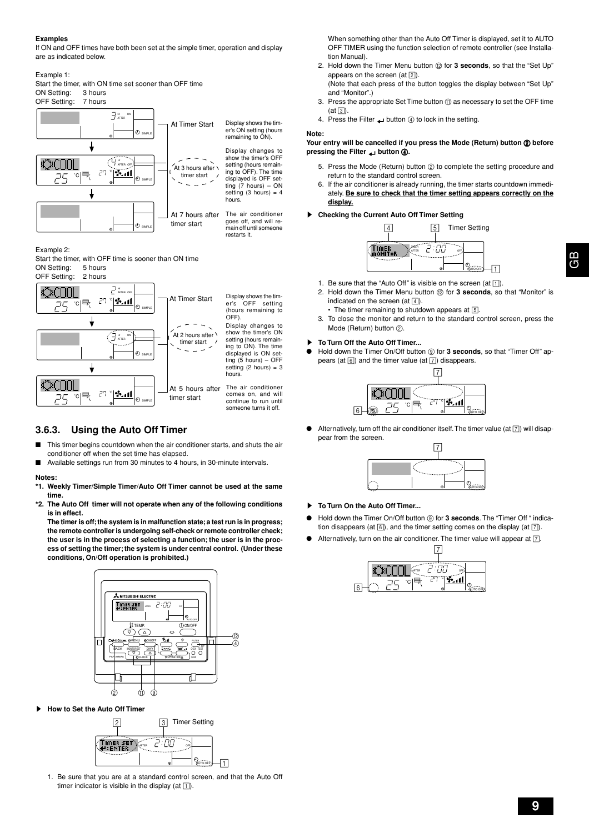### **Examples**

If ON and OFF times have both been set at the simple timer, operation and display are as indicated below.

Example 1:

Start the timer, with ON time set sooner than OFF time ON Setting: 3 hours OFF Setting: 7 hours



Example 2:

Start the timer, with OFF time is sooner than ON time ON Setting: 5 hours



AFTER

 $\blacktriangleright$  il

Display shows the tim-er's OFF setting (hours remaining to OFF). Display changes to show the timer's ON

setting (hours remaining to ON). The time displayed is ON setting (5 hours) – OFF setting  $(2 \text{ hours}) = 3$ hours.

At 5 hours after The air conditioner comes on, and will continue to run until someone turns it off.

### **3.6.3. Using the Auto Off Timer**

˚C

லி∩∩

▼

- This timer begins countdown when the air conditioner starts, and shuts the air conditioner off when the set time has elapsed.
- Available settings run from 30 minutes to 4 hours, in 30-minute intervals.

SIMPLE

 $\odot$ 

ിക

timer start

timer start

SIMPLE

#### **Notes:**

- **\*1. Weekly Timer/Simple Timer/Auto Off Timer cannot be used at the same time.**
- **\*2. The Auto Off timer will not operate when any of the following conditions is in effect.**

**The timer is off; the system is in malfunction state; a test run is in progress; the remote controller is undergoing self-check or remote controller check; the user is in the process of selecting a function; the user is in the process of setting the timer; the system is under central control. (Under these conditions, On/Off operation is prohibited.)**



**How to Set the Auto Off Timer** 



1. Be sure that you are at a standard control screen, and that the Auto Off timer indicator is visible in the display (at  $\boxed{1}$ ).

When something other than the Auto Off Timer is displayed, set it to AUTO OFF TIMER using the function selection of remote controller (see Installation Manual).

- 2. Hold down the Timer Menu button @ for 3 seconds, so that the "Set Up" appears on the screen (at  $\boxed{2}$ ).
- (Note that each press of the button toggles the display between "Set Up" and "Monitor".)
- 3. Press the appropriate Set Time button  $@$  as necessary to set the OFF time  $(at \vert 3)$ .
- 4. Press the Filter  $\Box$  button  $\textcircled{4}$  to lock in the setting.

#### **Note:**

#### Your entry will be cancelled if you press the Mode (Return) button  $@$  before **pressing the Filter button** 4**.**

- 5. Press the Mode (Return) button 2 to complete the setting procedure and return to the standard control screen.
- 6. If the air conditioner is already running, the timer starts countdown immediately. **Be sure to check that the timer setting appears correctly on the display.**

### **Checking the Current Auto Off Timer Setting**



- 1. Be sure that the "Auto Off" is visible on the screen (at  $\lceil \cdot \rceil$ ).
- 2. Hold down the Timer Menu button (2) for **3 seconds**, so that "Monitor" is indicated on the screen  $(at | \overline{4})$ .
- The timer remaining to shutdown appears at [5]. 3. To close the monitor and return to the standard control screen, press the Mode (Return) button 2.

### s **To Turn Off the Auto Off Timer...**

Hold down the Timer On/Off button (9) for 3 seconds, so that "Timer Off" appears (at  $\boxed{6}$ ) and the timer value (at  $\boxed{7}$ ) disappears.



Alternatively, turn off the air conditioner itself. The timer value (at  $\boxed{7}$ ) will disappear from the screen.



- **To Turn On the Auto Off Timer...**
- Hold down the Timer On/Off button  $@$  for 3 seconds. The "Timer Off " indication disappears (at  $[6]$ ), and the timer setting comes on the display (at  $[7]$ ).
- Alternatively, turn on the air conditioner. The timer value will appear at  $\boxed{7}$ .

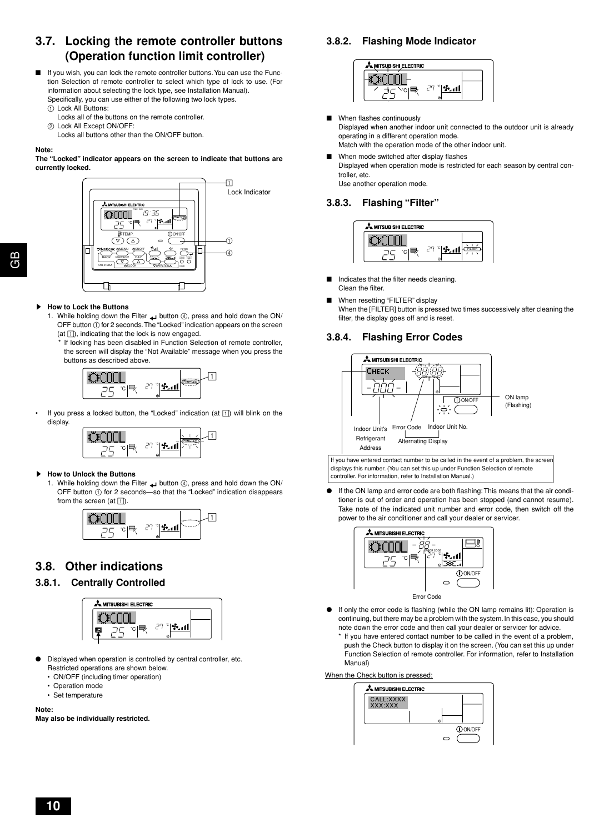### **3.7. Locking the remote controller buttons (Operation function limit controller)**

- If you wish, you can lock the remote controller buttons. You can use the Function Selection of remote controller to select which type of lock to use. (For information about selecting the lock type, see Installation Manual). Specifically, you can use either of the following two lock types.
	- 1 Lock All Buttons:
	- Locks all of the buttons on the remote controller.
	- 2 Lock All Except ON/OFF:
	- Locks all buttons other than the ON/OFF button.

#### **Note:**

**The "Locked" indicator appears on the screen to indicate that buttons are currently locked.**



#### **How to Lock the Buttons**

1. While holding down the Filter button 4, press and hold down the ON/ OFF button  $\tilde{1}$  for 2 seconds. The "Locked" indication appears on the screen  $(at \top)$ , indicating that the lock is now engaged.

If locking has been disabled in Function Selection of remote controller. the screen will display the "Not Available" message when you press the buttons as described above.



If you press a locked button, the "Locked" indication (at  $\boxed{1}$ ) will blink on the display.



**How to Unlock the Buttons** 

1. While holding down the Filter **button** 4, press and hold down the ON/ OFF button  $\overline{1}$  for 2 seconds—so that the "Locked" indication disappears from the screen (at  $\vert \overline{1} \vert$ ).



### **3.8. Other indications**

### **3.8.1. Centrally Controlled**



- Displayed when operation is controlled by central controller, etc. Restricted operations are shown below.
	- ON/OFF (including timer operation)
	- Operation mode
	- Set temperature

**Note:**

**May also be individually restricted.**

### **3.8.2. Flashing Mode Indicator**



- When flashes continuously Displayed when another indoor unit connected to the outdoor unit is already operating in a different operation mode. Match with the operation mode of the other indoor unit.
- When mode switched after display flashes Displayed when operation mode is restricted for each season by central controller, etc. Use another operation mode.

### **3.8.3. Flashing "Filter"**



- Indicates that the filter needs cleaning. Clean the filter.
	- When resetting "FILTER" display When the [FILTER] button is pressed two times successively after cleaning the filter, the display goes off and is reset.

### **3.8.4. Flashing Error Codes**



If you have entered contact number to be called in the event of a problem, the scree displays this number. (You can set this up under Function Selection of remote controller. For information, refer to Installation Manual.)

If the ON lamp and error code are both flashing: This means that the air conditioner is out of order and operation has been stopped (and cannot resume). Take note of the indicated unit number and error code, then switch off the power to the air conditioner and call your dealer or servicer.



- If only the error code is flashing (while the ON lamp remains lit): Operation is continuing, but there may be a problem with the system. In this case, you should note down the error code and then call your dealer or servicer for advice.
	- If you have entered contact number to be called in the event of a problem. push the Check button to display it on the screen. (You can set this up under Function Selection of remote controller. For information, refer to Installation Manual)

When the Check button is pressed:

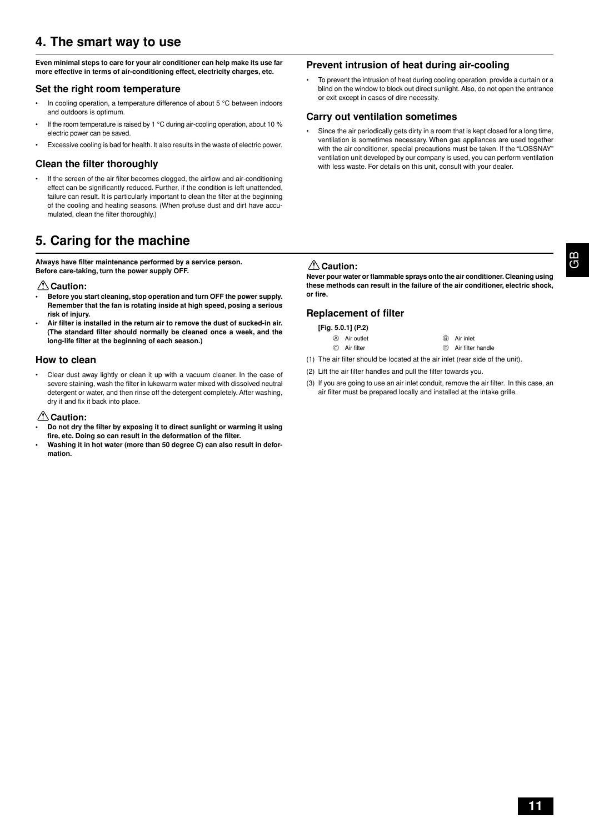### **4. The smart way to use**

**Even minimal steps to care for your air conditioner can help make its use far more effective in terms of air-conditioning effect, electricity charges, etc.**

### **Set the right room temperature**

- In cooling operation, a temperature difference of about 5 °C between indoors and outdoors is optimum.
- If the room temperature is raised by 1 °C during air-cooling operation, about 10 % electric power can be saved.
- Excessive cooling is bad for health. It also results in the waste of electric power.

### **Clean the filter thoroughly**

If the screen of the air filter becomes clogged, the airflow and air-conditioning effect can be significantly reduced. Further, if the condition is left unattended, failure can result. It is particularly important to clean the filter at the beginning of the cooling and heating seasons. (When profuse dust and dirt have accumulated, clean the filter thoroughly.)

### **5. Caring for the machine**

**Always have filter maintenance performed by a service person. Before care-taking, turn the power supply OFF.**

### *A* Caution:

- **• Before you start cleaning, stop operation and turn OFF the power supply. Remember that the fan is rotating inside at high speed, posing a serious risk of injury.**
- **• Air filter is installed in the return air to remove the dust of sucked-in air. (The standard filter should normally be cleaned once a week, and the long-life filter at the beginning of each season.)**

### **How to clean**

• Clear dust away lightly or clean it up with a vacuum cleaner. In the case of severe staining, wash the filter in lukewarm water mixed with dissolved neutral detergent or water, and then rinse off the detergent completely. After washing, dry it and fix it back into place.

### **Caution:**

- **• Do not dry the filter by exposing it to direct sunlight or warming it using fire, etc. Doing so can result in the deformation of the filter.**
- **Washing it in hot water (more than 50 degree C) can also result in deformation.**

### **Prevent intrusion of heat during air-cooling**

• To prevent the intrusion of heat during cooling operation, provide a curtain or a blind on the window to block out direct sunlight. Also, do not open the entrance or exit except in cases of dire necessity.

### **Carry out ventilation sometimes**

• Since the air periodically gets dirty in a room that is kept closed for a long time, ventilation is sometimes necessary. When gas appliances are used together with the air conditioner, special precautions must be taken. If the "LOSSNAY" ventilation unit developed by our company is used, you can perform ventilation with less waste. For details on this unit, consult with your dealer.

### **△
Caution:**

**Never pour water or flammable sprays onto the air conditioner. Cleaning using these methods can result in the failure of the air conditioner, electric shock, or fire.**

### **Replacement of filter**

### **[Fig. 5.0.1] (P.2)**

- **A** Air outlet **B** Air inlet
- C Air filter **D** Air filter handle
- (1) The air filter should be located at the air inlet (rear side of the unit).
- (2) Lift the air filter handles and pull the filter towards you.
- (3) If you are going to use an air inlet conduit, remove the air filter. In this case, an air filter must be prepared locally and installed at the intake grille.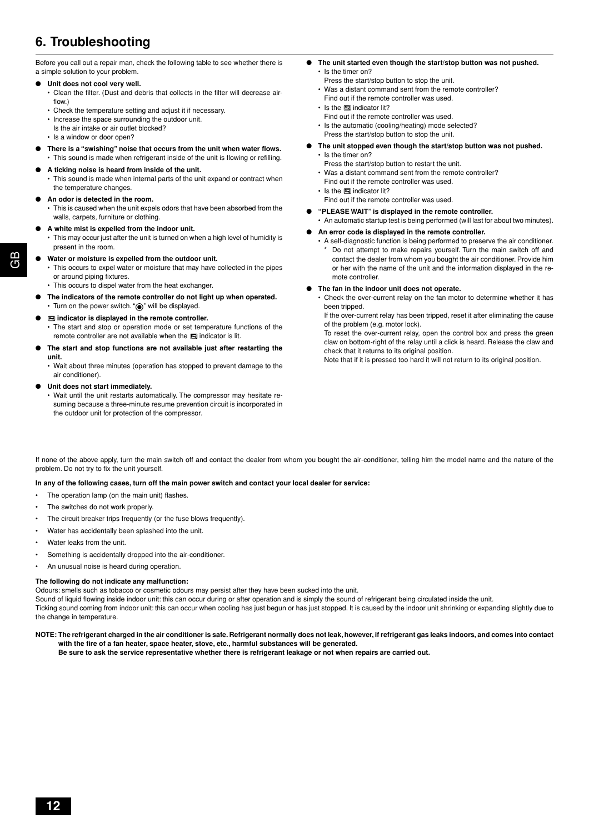### **6. Troubleshooting**

Before you call out a repair man, check the following table to see whether there is a simple solution to your problem.

### **Unit does not cool very well.**

• Clean the filter. (Dust and debris that collects in the filter will decrease airflow.)

- Check the temperature setting and adjust it if necessary.
- Increase the space surrounding the outdoor unit.
- Is the air intake or air outlet blocked?
- Is a window or door open?
- **There is a "swishing" noise that occurs from the unit when water flows.** • This sound is made when refrigerant inside of the unit is flowing or refilling.
- A ticking noise is heard from inside of the unit.
- This sound is made when internal parts of the unit expand or contract when the temperature changes.

#### ● **An odor is detected in the room.**

- This is caused when the unit expels odors that have been absorbed from the walls, carpets, furniture or clothing.
- A white mist is expelled from the indoor unit.
	- This may occur just after the unit is turned on when a high level of humidity is present in the room.
- Water or moisture is expelled from the outdoor unit.
	- This occurs to expel water or moisture that may have collected in the pipes or around piping fixtures.
	- This occurs to dispel water from the heat exchanger.
- The indicators of the remote controller do not light up when operated. • Turn on the power switch. " $\circledcirc$ " will be displayed.
- **indicator is displayed in the remote controller.** • The start and stop or operation mode or set temperature functions of the remote controller are not available when the  $\blacksquare$  indicator is lit.
- **The start and stop functions are not available just after restarting the unit.**
	- Wait about three minutes (operation has stopped to prevent damage to the air conditioner).
- **Unit does not start immediately.** 
	- Wait until the unit restarts automatically. The compressor may hesitate resuming because a three-minute resume prevention circuit is incorporated in the outdoor unit for protection of the compressor.
- **The unit started even though the start/stop button was not pushed.** Is the timer on?
	- Press the start/stop button to stop the unit.
	- Was a distant command sent from the remote controller? Find out if the remote controller was used.
	- Is the **indicator** lit?
	- Find out if the remote controller was used.
	- Is the automatic (cooling/heating) mode selected?
	- Press the start/stop button to stop the unit.
- **The unit stopped even though the start/stop button was not pushed.**
	- Is the timer on?
	- Press the start/stop button to restart the unit. • Was a distant command sent from the remote controller?
	- Find out if the remote controller was used.
	- $\cdot$  Is the  $\blacksquare$  indicator lit?
	- Find out if the remote controller was used.
- **"PLEASE WAIT" is displayed in the remote controller.**
	- An automatic startup test is being performed (will last for about two minutes).
- An error code is displayed in the remote controller.
	- A self-diagnostic function is being performed to preserve the air conditioner. Do not attempt to make repairs yourself. Turn the main switch off and contact the dealer from whom you bought the air conditioner. Provide him or her with the name of the unit and the information displayed in the remote controller
- **The fan in the indoor unit does not operate.**
	- Check the over-current relay on the fan motor to determine whether it has been tripped.

If the over-current relay has been tripped, reset it after eliminating the cause of the problem (e.g. motor lock).

To reset the over-current relay, open the control box and press the green claw on bottom-right of the relay until a click is heard. Release the claw and check that it returns to its original position.

Note that if it is pressed too hard it will not return to its original position.

If none of the above apply, turn the main switch off and contact the dealer from whom you bought the air-conditioner, telling him the model name and the nature of the problem. Do not try to fix the unit yourself.

### **In any of the following cases, turn off the main power switch and contact your local dealer for service:**

- The operation lamp (on the main unit) flashes.
- The switches do not work properly.
- The circuit breaker trips frequently (or the fuse blows frequently).
- Water has accidentally been splashed into the unit.
- Water leaks from the unit.
- Something is accidentally dropped into the air-conditioner.
- An unusual noise is heard during operation.

#### **The following do not indicate any malfunction:**

Odours: smells such as tobacco or cosmetic odours may persist after they have been sucked into the unit.

Sound of liquid flowing inside indoor unit: this can occur during or after operation and is simply the sound of refrigerant being circulated inside the unit.

Ticking sound coming from indoor unit: this can occur when cooling has just begun or has just stopped. It is caused by the indoor unit shrinking or expanding slightly due to the change in temperature.

**NOTE: The refrigerant charged in the air conditioner is safe. Refrigerant normally does not leak, however, if refrigerant gas leaks indoors, and comes into contact with the fire of a fan heater, space heater, stove, etc., harmful substances will be generated.**

**Be sure to ask the service representative whether there is refrigerant leakage or not when repairs are carried out.**

GB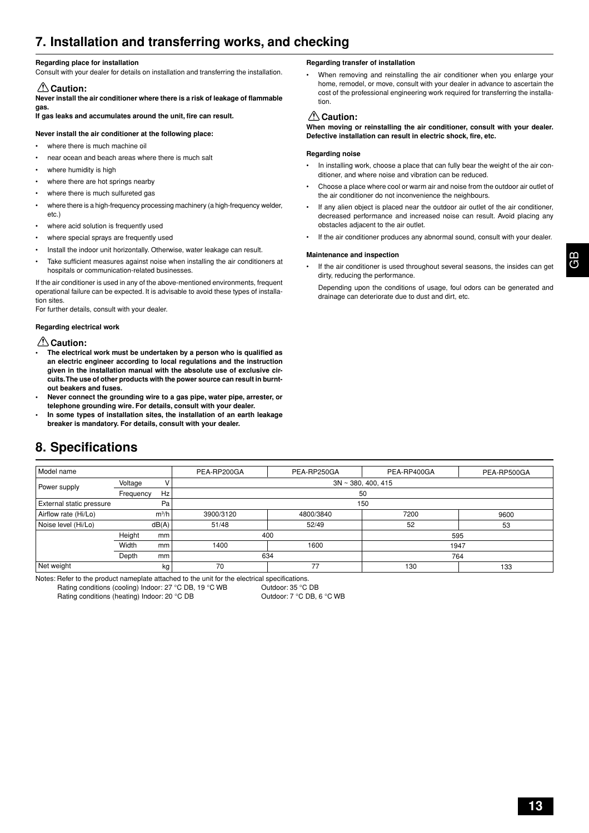### **7. Installation and transferring works, and checking**

#### **Regarding place for installation**

Consult with your dealer for details on installation and transferring the installation.

### **Caution:**

**Never install the air conditioner where there is a risk of leakage of flammable gas.**

**If gas leaks and accumulates around the unit, fire can result.**

### **Never install the air conditioner at the following place:**

- where there is much machine oil
- near ocean and beach areas where there is much salt
- where humidity is high
- where there are hot springs nearby
- where there is much sulfureted gas
- where there is a high-frequency processing machinery (a high-frequency welder, etc.)
- where acid solution is frequently used
- where special sprays are frequently used
- Install the indoor unit horizontally. Otherwise, water leakage can result.
- Take sufficient measures against noise when installing the air conditioners at hospitals or communication-related businesses.

If the air conditioner is used in any of the above-mentioned environments, frequent operational failure can be expected. It is advisable to avoid these types of installation sites.

For further details, consult with your dealer.

### **Regarding electrical work**

### **Caution:**

- **• The electrical work must be undertaken by a person who is qualified as an electric engineer according to local regulations and the instruction given in the installation manual with the absolute use of exclusive circuits. The use of other products with the power source can result in burntout beakers and fuses.**
- **Never connect the grounding wire to a gas pipe, water pipe, arrester, or telephone grounding wire. For details, consult with your dealer.**
- **• In some types of installation sites, the installation of an earth leakage breaker is mandatory. For details, consult with your dealer.**

### **8. Specifications**

### **Regarding transfer of installation**

• When removing and reinstalling the air conditioner when you enlarge your home, remodel, or move, consult with your dealer in advance to ascertain the cost of the professional engineering work required for transferring the installation.

### **Caution:**

**When moving or reinstalling the air conditioner, consult with your dealer. Defective installation can result in electric shock, fire, etc.**

### **Regarding noise**

- In installing work, choose a place that can fully bear the weight of the air conditioner, and where noise and vibration can be reduced.
- Choose a place where cool or warm air and noise from the outdoor air outlet of the air conditioner do not inconvenience the neighbours.
- If any alien object is placed near the outdoor air outlet of the air conditioner, decreased performance and increased noise can result. Avoid placing any obstacles adjacent to the air outlet.
- If the air conditioner produces any abnormal sound, consult with your dealer.

### **Maintenance and inspection**

If the air conditioner is used throughout several seasons, the insides can get dirty, reducing the performance.

Depending upon the conditions of usage, foul odors can be generated and drainage can deteriorate due to dust and dirt, etc.

| Model name               |           |         | PEA-RP200GA | PEA-RP250GA             | PEA-RP400GA | PEA-RP500GA |  |  |  |
|--------------------------|-----------|---------|-------------|-------------------------|-------------|-------------|--|--|--|
| Power supply             | Voltage   |         |             | $3N \sim 380, 400, 415$ |             |             |  |  |  |
|                          | Frequency | Hz      |             | 50                      |             |             |  |  |  |
| External static pressure |           | Pa      |             |                         | 150         |             |  |  |  |
| Airflow rate (Hi/Lo)     |           | $m^3/h$ | 3900/3120   | 4800/3840               | 7200        | 9600        |  |  |  |
| Noise level (Hi/Lo)      |           | dB(A)   | 51/48       | 52/49                   | 52          | 53          |  |  |  |
| Height<br>mm             |           |         | 400         |                         | 595         |             |  |  |  |
|                          | Width     | mm      | 1400        | 1600                    |             | 1947        |  |  |  |
| Depth<br>mm              |           | 634     |             | 764                     |             |             |  |  |  |
| Net weight               |           | kg      | 70          | 77                      | 130         | 133         |  |  |  |

Notes: Refer to the product nameplate attached to the unit for the electrical specifications.

Rating conditions (cooling) Indoor: 27 °C DB, 19 °C WB Outdoor: 35 °C DB

Rating conditions (heating) Indoor: 20 °C DB Outdoor: 7 °C DB, 6 °C WB

GB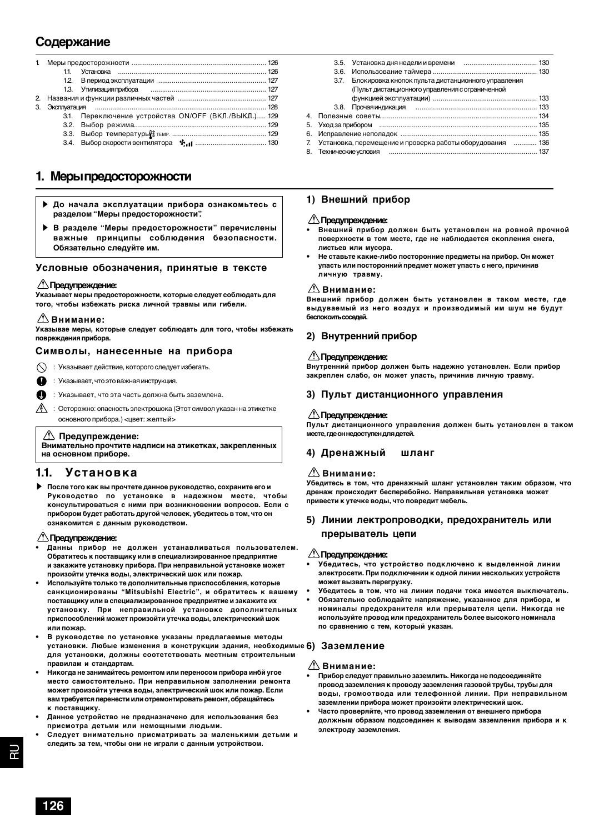### **Содержание**

| 2. |                                                      |
|----|------------------------------------------------------|
| 3. |                                                      |
|    | 3.1. Переключение устройства ON/OFF (ВКЛ./ВЫКЛ.) 129 |
|    |                                                      |
|    |                                                      |
|    |                                                      |

### **1. Меры предосторожности**

- s **До начала эксплуатации прибора ознакомьтесь с разделом "Меры предосторожности".**
- s **В разделе "Меры предосторожности" перечислены важные принципы соблюдения безопасности. Обязательно следуйте им.**

### **Условные обозначения, принятые в тексте**

### **Предупреждение:**

**Указывает меры предосторожности, которые следует соблюдать для того, чтобы избежать риска личной травмы или гибели.**

### **Внимание:**

**Указывае меры, которые следует соблюдать для того, чтобы избежать повреждения прибора.**

### **Символы, нанесенные на прибора**

: Указывает действие, которого следует избегать.

- : Указывает, что это важная инструкция.
- : Указывает, что эта часть должна быть заземлена.
- $\sqrt{4}$ : Осторожно: опасность электрошока (Этот символ указан на этикетке основного прибора.) <цвет: желтый>

### **Предупреждение:**

**Внимательно прочтите надписи на этикетках, закрепленных на основном приборе.**

### **1.1. Установка**

s **После того как вы прочтете данное руководство, сохраните его и Руководство по установке в надежном месте, чтобы консультироваться с ними при возникновении вопросов. Если с прибором будет работать другой человек, убедитесь в том, что он ознакомится с данным руководством.**

### **Предупреждение:**

- **• Данны прибор не должен устанавливаться пользователем. Обратитесь к поставщику или в специализированное предприятие и закажите установку прибора. При неправильной установке может произойти утечка воды, электрический шок или пожар.**
- **• Используйте только те дополнительные приспособления, которые санкционированы "Mitsubishi Electric", и обратитесь к вашему поставщику или в специализированное предприятие и закажите их установку. При неправильной установке дополнительных приспособлений может произойти утечка воды, электрический шок или пожар.**
- установки. Любые изменения в конструкции здания, необходимые 6) Заземление **• В руководстве по установке указаны предлагаемые методы для установки, должны соотетствовать местным строительным правилам и стандартам.**
- **• Никогда не занимайтесь ремонтом или переносом прибора инбй угое место самостоятельно. При неправильном заполнении ремонта может произойти утечка воды, электрический шок или пожар. Если вам требуется перенести или отремонтировать ремонт, обращайтесь к поставщику.**
- **• Данное устройство не предназначено для использования без присмотра детьми или немощными людьми.**
- **• Следует внимательно присматривать за маленькими детьми и следить за тем, чтобы они не играли с данным устройством.**

|                | 3.7. | Блокировка кнопок пульта дистанционного управления<br>(Пульт дистанционного управления с ограниченной |  |
|----------------|------|-------------------------------------------------------------------------------------------------------|--|
|                |      |                                                                                                       |  |
|                |      |                                                                                                       |  |
| $\overline{4}$ |      |                                                                                                       |  |
|                |      |                                                                                                       |  |
|                |      |                                                                                                       |  |
|                |      | 7. Установка, перемещение и проверка работы оборудования  136                                         |  |
|                |      |                                                                                                       |  |

### **1) Внешний прибор**

### **Предупреждение:**

- **• Внешний прибор должен быть установлен на ровной прочной поверхности в том месте, где не наблюдается скопления снега, листьев или мусора.**
- **• Не ставьте какие-либо посторонние предметы на прибор. Он может упасть или посторонний предмет может упасть с него, причинив личную травму.**

### **Внимание:**

**Внешний прибор должен быть установлен в таком месте, где выдуваемый из него воздух и производимый им шум не будут беспокоить соседей.**

### **2) Внутренний прибор**

### **Предупреждение:**

**Внутренний прибор должен быть надежно установлен. Если прибор закреплен слабо, он может упасть, причинив личную травму.**

### **3) Пульт дистанционного управления**

### **Предупреждение:**

**Пульт дистанционного управления должен быть установлен в таком месте, где он недоступен для детей.**

### **4) Дренажный шланг**

### **Внимание:**

**Убедитесь в том, что дренажный шланг установлен таким образом, что дренаж происходит бесперебойно. Неправильная установка может привести к утечке воды, что повредит мебель.**

### **5) Линии лектропроводки, предохранитель или прерыватель цепи**

### **Предупреждение:**

- **Убедитесь, что устройство подключено к выделенной линии электросети. При подключении к одной линии нескольких устройств может вызвать перегрузку.**
- **• Убедитесь в том, что на линии подачи тока имеется выключатель.**
- **• Обязательно соблюдайте напряжение, указанное для прибора, и номиналы предохранителя или прерывателя цепи. Никогда не используйте провод или предохранитель более высокого номинала по сравнению с тем, который указан.**

### **Внимание:**

- **• Прибор следует правильно заземлить. Никогда не подсоединяйте провод заземления к проводу заземления газовой трубы, трубы для воды, громоотвода или телефонной линии. При неправильном заземлении прибора может произойти электрический шок.**
- **• Часто проверяйте, что провод заземления от внешнего прибора должным образом подсоединен к выводам заземления прибора и к электроду заземления.**

RU TRU

귾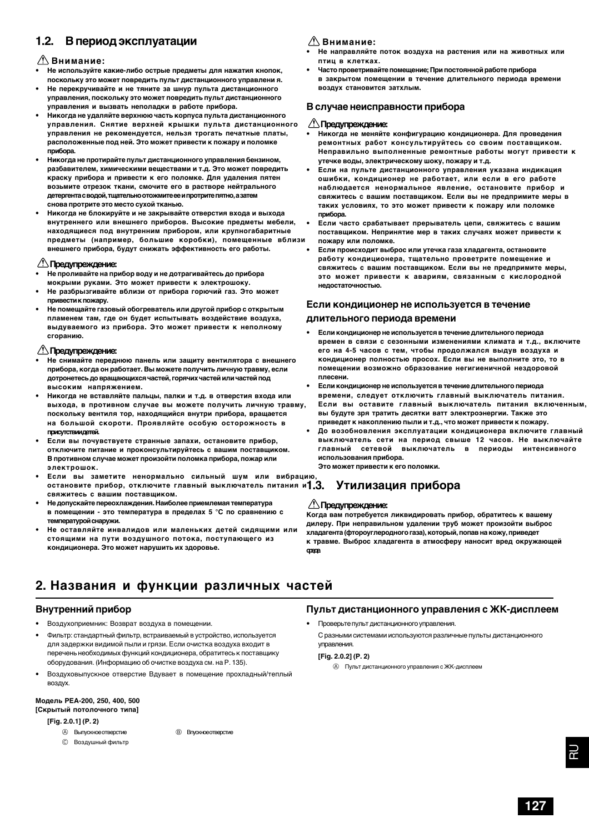### **1.2. В период эксплуатации**

### **Внимание:**

- **• Не используйте какие-либо острые предметы для нажатия кнопок, поскольку это может повредить пульт дистанционного управлени я.**
- **• Не перекручивайте и не тяните за шнур пульта дистанционного управления, поскольку это может повредить пульт дистанционного управления и вызвать неполадки в работе прибора.**
- **• Никогда не удаляйте верхнюю часть корпуса пульта дистанционного управления. Снятие верхней крышки пульта дистанционного управления не рекомендуется, нельзя трогать печатные платы, расположенные под ней. Это может привести к пожару и поломке прибора.**
- **• Никогда не протирайте пульт дистанционного управления бензином, разбавителем, химическими веществами и т.д. Это может повредить краску прибора и привести к его поломке. Для удаления пятен возьмите отрезок ткани, смочите его в растворе нейтрального детергента с водой, тщательно отожмите ее и протрите пятно, а затем снова протрите это место сухой тканью.**
- **• Никогда не блокируйте и не закрывайте отверстия входа и выхода внутреннего или внешнего приборов. Высокие предметы мебели, находящиеся под внутренним прибором, или крупногабаритные предметы (например, большие коробки), помещенные вблизи внешнего прибора, будут снижать эффективность его работы.**

### **Предупреждение:**

- **• Не проливайте на прибор воду и не дотрагивайтесь до прибора мокрыми руками. Это может привести к электрошоку.**
- **• Не разбрызгивайте вблизи от прибора горючий газ. Это может привести к пожару.**
- **• Не помещайте газовый обогреватель или другой прибор с открытым пламенем там, где он будет испытывать воздействие воздуха, выдуваемого из прибора. Это может привести к неполному сгоранию.**

### **Предупреждение:**

- **• Не снимайте переднюю панель или защиту вентилятора с внешнего прибора, когда он работает. Вы можете получить личную травму, если дотронетесь до вращающихся частей, горячих частей или частей под высоким напряжением.**
- **• Никогда не вставляйте пальцы, палки и т.д. в отверстия входа или выхода, в противном случае вы можете получить личную травму, поскольку вентиля тор, находящийся внутри прибора, вращается на большой скороти. Проявляйте особую осторожность в присутствии детей.**
- **• Если вы почувствуете странные запахи, остановите прибор, отключите питание и проконсультируйтесь с вашим поставщиком. В противном случае может произойти поломка прибора, пожар или электрошок.**
- **• Если вы заметите ненормально сильный шум или вибрацию, остановите прибор, отключите главный выключатель питания и свяжитесь с вашим поставщиком.**
- **• Не допускайте переохлаждения. Наиболее приемлемая температура в помещении - это температура в пределах 5 °С по сравнению с температурой снаружи.**
- **• Не оставляйте инвалидов или маленьких детей сидящими или стоящими на пути воздушного потока, поступающего из кондиционера. Это может нарушить их здоровье.**

### **Внимание:**

- **Не направляйте поток воздуха на растения или на животных или птиц в клетках.**
- **• Часто проветривайте помещение; При постоянной работе прибора в закрытом помещении в течение длительного периода времени воздух становится затхлым.**

### **В случае неисправности прибора**

### **Предупреждение:**

- **• Никогда не меняйте конфигурацию кондиционера. Для проведения ремонтных работ консультируйтесь со своим поставщиком. Неправильно выполненные ремонтные работы могут привести к утечке воды, электрическому шоку, пожару и т.д.**
- **• Если на пульте дистанционного управления указана индикация ошибки, кондиционер не работает, или если в его работе наблюдается ненормальное явление, остановите прибор и свяжитесь с вашим поставщиком. Если вы не предпримите меры в таких условиях, то это может привести к пожару или поломке прибора.**
- **• Если часто срабатывает прерыватель цепи, свяжитесь с вашим поставщиком. Непринятие мер в таких случаях может привести к пожару или поломке.**
- **• Если происходит выброс или утечка газа хладагента, остановите работу кондиционера, тщательно проветрите помещение и свяжитесь с вашим поставщиком. Если вы не предпримите меры, это может привести к авариям, связанным с кислородной недостаточностью.**

### **Если кондиционер не используется в течение**

### **длительного периода времени**

- **Если кондиционер не используется в течение длительного периода времен в связи с сезонными изменениями климата и т.д., включите его на 4-5 часов с тем, чтобы продолжался выдув воздуха и кондиционер полностью просох. Если вы не выполните это, то в помещении возможно образование негигиеничной нездоровой плесени.**
- **Если кондиционер не используется в течение длительного периода времени, следует отключить главный выключатель питания. Если вы оставите главный выключатель питания включенным, вы будуте зря тратить десятки ватт электроэнергии. Также это приведет к накоплению пыли и т.д., что может привести к пожару.**
- **• До возобновления эксплуатации кондиционера включите главный выключатель сети на период свыше 12 часов. Не выключайте главный сетевой выключатель в периоды интенсивного использования прибора. Это может привести к его поломки.**

### **1.3. Утилизация прибора**

### **Предупреждение:**

**Когда вам потребуется ликвидировать прибор, обратитесь к вашему дилеру. При неправильном удалении труб может произойти выброс хладагента (фтороуглеродного газа), который, попав на кожу, приведет к травме. Выброс хладагента в атмосферу наносит вред окружающей среде.**

### **2. Названия и функции различных частей**

### **Внутренний прибор**

- Воздухоприемник: Возврат воздуха в помещении.
- Фильтр: стандартный фильтр, встраиваемый в устройство, используется для задержки видимой пыли и грязи. Если очистка воздуха входит в перечень необходимых функций кондиционера, обратитесь к поставщику оборудования. (Информацию об очистке воздуха см. на P. 135).
- Воздуховыпускное отверстие Вдувает в помещение прохладный/теплый воздух.

### **Модель PEA-200, 250, 400, 500 [Скрытый потолочного типа]**

### **[Fig. 2.0.1] (P. 2)**

- - C Воздушный фильтр
- **A** Выпускное отверстие **B** Впускное отверстие

**Пульт дистанционного управления с ЖК-дисплеем**

#### • Проверьте пульт дистанционного управления.

С разными системами используются различные пульты дистанционного управления.

**[Fig. 2.0.2] (P. 2)**

A Пульт дистанционного управления с ЖК-дисплеем

RU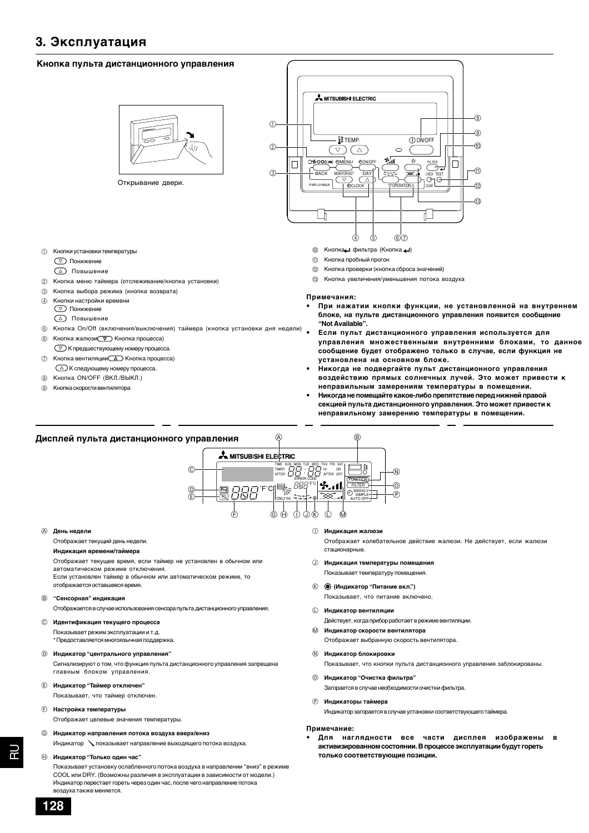### **3. Эксплуатация**

### **Кнопка пульта дистанционного управления**



Открывание двери.

- 1 Кнопки установки температуры
	- Понижение
	- Повышение
- 2 Кнопка меню таймера (отслеживание/кнопка установки)
- 3 Кнопка выбора режима (кнопка возврата)
- 4 Кнопки настройки времени Понижение
	-
	- Повышение
- 5 Кнопка On/Off (включения/выключения) таймера (кнопка установки дня недели)
- Кнопка жалюзи $\nabla$  Кнопка процесса)
- К предшествующему номеру процесса. 7 Кнопка вентиляции (1) Кнопка процесса)
- К следующему номеру процесса.
- 8 Кнопка ON/OFF (ВКЛ./ВЫКЛ.)
- 9 Кнопка скорости вентилятора



- **1** Кнопка фильтра (Кнопка +)
- **11 Кнопка пробный прогон**
- B Кнопка проверки (кнопка сброса значений)
- **13 Кнопка увеличения/уменьшения потока воздуха**

#### **Примечания:**

- **• При нажатии кнопки функции, не установленной на внутреннем блоке, на пульте дистанционного управления появится сообщение "Not Available".**
- **• Если пульт дистанционного управления используется для управления множественными внутренними блоками, то данное сообщение будет отображено только в случае, если функция не установлена на основном блоке.**
- **• Никогда не подвергайте пульт дистанционного управления воздействию прямых солнечных лучей. Это может привести к неправильным замерениям температуры в помещении.**
- **• Никогда не помещайте какое-либо препятствие перед нижней правой секцией пульта дистанционного управления. Это может привести к неправильному замерению температуры в помещении.**



#### A **День недели**

#### Отображает текущий день недели.

**Индикация времени/таймера**

Отображает текущее время, если таймер не установлен в обычном или

автоматическом режиме отключения.

Если установлен таймер в обычном или автоматическом режиме, то отображается оставшееся время.

### B **"Сенсорная" индикация**

Отображается в случае использования сенсора пульта дистанционного управления.

### C **Идентификация текущего процесса**

Показывает режим эксплуатации и т.д. \* Предоставляется многоязычная поддержка.

### D **Индикатор "центрального управления"**

Сигнализируют о том, что функция пульта дистанционного управления запрещена главным блоком управления.

### E **Индикатор "Таймер отключен"**

Показывает, что таймер отключен.

#### F **Настройка температуры**

Отображает целевые значения температуры.

### G **Индикатор направления потока воздуха вверх/вниз**

Индикатор показывает направление выходящего потока воздуха.

### H **Индикатор "Только один час"**

Показывает установку ослабленного потока воздуха в направлении "вниз" в режиме COOL или DRY. (Возможны различия в эксплуатации в зависимости от модели.) Индикатор перестает гореть через один час, после чего направление потока воздуха также меняется.

I **Индикация жалюзи**

Отображает колебательное действие жалюзи. Не действует, если жалюзи стационарные.

- J **Индикация температуры помещения** Показывает температуру помещения.
- K **(Индикатор "Питание вкл.")**

Показывает, что питание включено.

#### L **Индикатор вентиляции**

Действует, когда прибор работает в режиме вентиляции.

- M **Индикатор скорости вентилятора** Отображает выбранную скорость вентилятора.
- N **Индикатор блокировки**

Показывает, что кнопки пульта дистанционного управления заблокированы.

### O **Индикатор "Очистка фильтра"**

Загорается в случае необходимости очистки фильтра.

P **Индикаторы таймера**

Индикатор загорается в случае установки соответствующего таймера.

#### **Примечание:**

**• Для наглядности все части дисплея изображены в активизированном состоянии. В процессе эксплуатации будут гореть только соответствующие позиции.**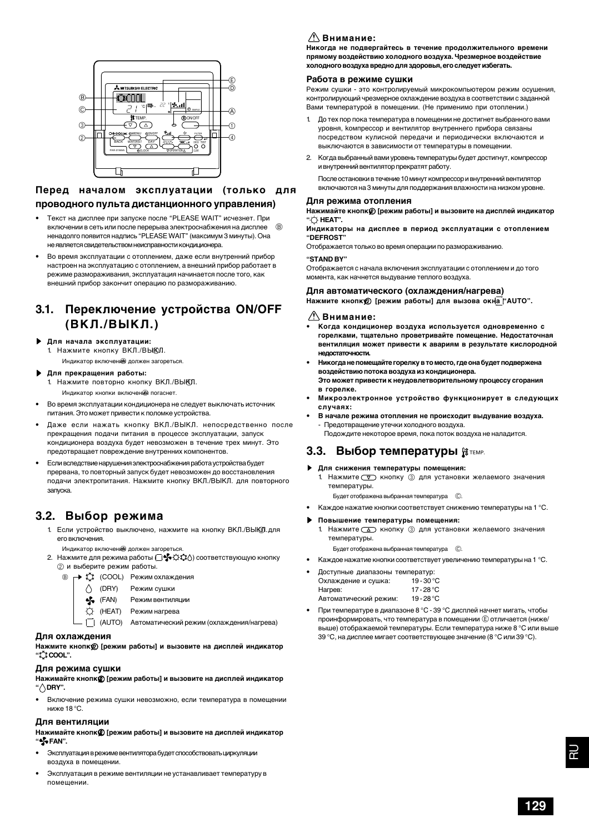

### **Перед началом эксплуатации (только для проводного пульта дистанционного управления)**

- Текст на дисплее при запуске после "PLEASE WAIT" исчезнет. При включении в сеть или после перерыва электроснабжения на дисплее  $\quad \circledB$ ненадолго появится надпись "PLEASE WAIT" (максимум 3 минуты). Она не является свидетельством неисправности кондиционера.
- Во время эксплуатации с отоплением, даже если внутренний прибор настроен на эксплуатацию с отоплением, а внешний прибор работает в режиме размораживания, эксплуатация начинается после того, как внешний прибор закончит операцию по размораживанию.

### **3.1. Переключение устройства ON/OFF (ВКЛ./ВЫКЛ.)**

### s **Для начала эксплуатации:**

- 1. Нажмите кнопку ВКЛ./ВЫКЛ.
- Индикатор включени должен загореться.

### s **Для прекращения работы:**

Нажмите повторно кнопку ВКЛ./ВЫКЛ. Индикатор кнопки включения погаснет

- Во время эксплуатации кондиционера не следует выключать источник питания. Это может привести к поломке устройства.
- Даже если нажать кнопку ВКЛ./ВЫКЛ. непосредственно после прекращения подачи питания в процессе эксплуатации, запуск кондиционера воздуха будет невозможен в течение трех минут. Это предотвращает повреждение внутренних компонентов.
- Если вследствие нарушения электроснабжения работа устройства будет прервана, то повторный запуск будет невозможен до восстановления подачи электропитания. Нажмите кнопку ВКЛ./ВЫКЛ. для повторного запуска.

### **3.2. Выбор режима**

1. Если устройство выключено, нажмите на кнопку ВКЛ./ВЫКЛ.для его включения.

Индикатор включения должен загореться

2. Нажмите для режима работы ( ) соответствующую кнопку 2 и выберите режим работы.



- **(FAN)** Режим вентиляции
- (HEAT) Режим нагрева

(AUTO) Автоматический режим (охлаждения/нагрева)

### **Для охлаждения**

Нажмите кнопк [режим работы] и вызовите на дисплей индикатор **" COOL".**

### **Для режима сушки**

**Нажимайте кнопку** 2 **[режим работы] и вызовите на дисплей индикатор " DRY".**

• Включение режима сушки невозможно, если температура в помещении ниже 18 °С.

### **Для вентиляции**

**Нажимайте кнопку** 2 **[режим работы] и вызовите на дисплей индикатор " FAN".**

- Эксплуатация в режиме вентилятора будет способствовать циркуляции воздуха в помещении.
- Эксплуатация в режиме вентиляции не устанавливает температуру в помещении.

### $\triangle$ Внимание:

**Никогда не подвергайтесь в течение продолжительного времени прямому воздействию холодного воздуха. Чрезмерное воздействие холодного воздуха вредно для здоровья, его следует избегать.**

### **Работа в режиме сушки**

Режим сушки - это контролируемый микрокомпьютером режим осушения, контролирующий чрезмерное охлаждение воздуха в соответствии с заданной Вами температурой в помещении. (Не применимо при отоплении.)

- 1. До тех пор пока температура в помещении не достигнет выбранного вами уровня, kомпрессор и вентилятор внутреннего прибора связаны посредством кулисной передачи и периодически включаются и выключаются в зависимости от температуры в помещении.
- 2. Когда выбранный вами уровень температуры будет достигнут, компрессор и внутренний вентилятор прекратят работу.

После остановки в течение 10 минут компрессор и внутренний вентилятор включаются на 3 минуты для поддержания влажности на низком уровне.

### **Для режима отопления**

Нажимайте кнопк@ [режим работы] и вызовите на дисплей индикатор **" HEAT".**

**Индикаторы на дисплее в период эксплуатации с отоплением "DEFROST"**

Отображается только во время операции по размораживанию. **"STAND BY"**

Отображается с начала включения эксплуатации с отоплением и до того момента, как начнется выдувание теплого воздуха.

### **Для автоматического (охлаждения/нагрева)**

**Нажмите кнопку** 2 **[режим работы] для вызова окна "АUTО".**

### $\triangle$ Внимание:

- **• Когда кондиционер воздуха используется одновременно с горелками, тщательно проветривайте помещение. Недостаточная вентиляция может привести к авариям в результате кислородной недостаточности.**
- **• Никогда не помещайте горелку в то место, где она будет подвержена воздействию потока воздуха из кондиционера. Это может привести к неудовлетворительному процессу сгорания в горелке.**
- **• Микроэлектронное устройство функционирует в следующих случаях:**
- **В начале режима отопления не происходит выдувание воздуха.** - Предотвращение утечки холодного воздуха. Подождите некоторое время, пока поток воздуха не наладится.

### **3.3. Выбор температуры**  $\mathbf{H}_{\text{TEMP}}$ **.**

s **Для снижения температуры помещения:** Нажмите  $\nabla$  кнопку 3 для установки желаемого значения температуры.

Будет отображена выбранная температура C.

• Каждое нажатие кнопки соответствует снижению температуры на 1 °C.

#### s **Повышение температуры помещения:**

1. Нажмите  $\textcircled{1}$  кнопку  $\textcircled{3}$  для установки желаемого значения температуры.

Будет отображена выбранная температура ©.

- Каждое нажатие кнопки соответствует увеличению температуры на 1 °C.
- Доступные диапазоны температур:<br>Охлажление и сушка: 19-30 °С Охлаждение и сушка: Нагрев: 17 - 28 °C Автоматический режим: 19 - 28 °C
- При температуре в диапазоне 8 °C 39 °C дисплей начнет мигать, чтобы проинформировать, что температура в помещении  $\mathfrak E$  отличается (ниже/ выше) отображаемой температуры. Если температура ниже 8 °C или выше 39 °C, на дисплее мигает соответствующее значение (8 °C или 39 °C).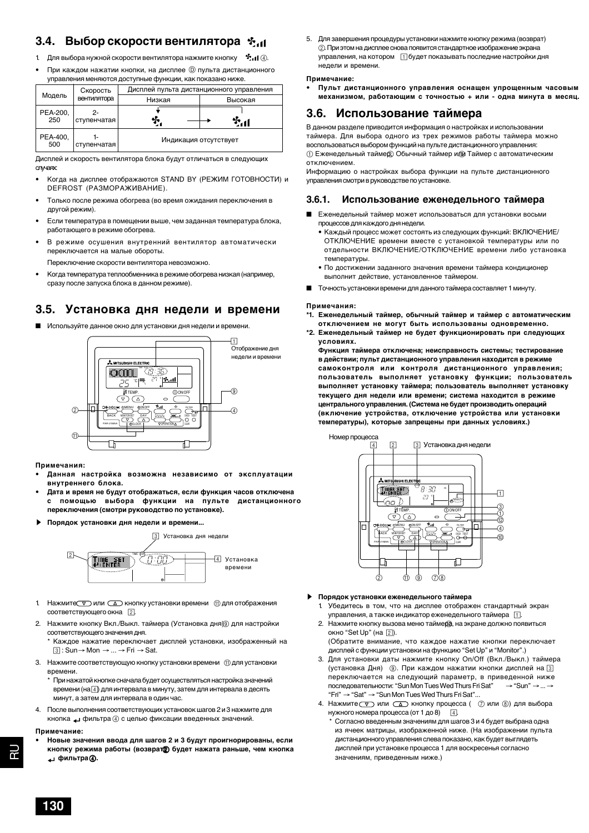### **3.4. Выбор скорости вентилятора**

- 1. Для выбора нужной скорости вентилятора нажмите кнопку  $\mathbf{f}$ .  $\mathbf{d}(\mathbf{q})$
- При каждом нажатии кнопки, на дисплее  $@$  пульта дистанционного управления меняются доступные функции, как показано ниже.

|                 | Скорость          | Дисплей пульта дистанционного управления |         |  |
|-----------------|-------------------|------------------------------------------|---------|--|
| Модель          | вентилятора       | Низкая                                   | Высокая |  |
| PEA-200,<br>250 | 2-<br>ступенчатая | y,                                       |         |  |
| PEA-400,<br>500 | ступенчатая       | Индикация отсутствует                    |         |  |

Дисплей и скорость вентилятора блока будут отличаться в следующих случаях:

- Когда на дисплее отображаются STAND BY (РЕЖИМ ГОТОВНОСТИ) и DEFROST (РАЗМОРАЖИВАНИЕ).
- Только после режима обогрева (во время ожидания переключения в другой режим).
- Если температура в помещении выше, чем заданная температура блока, работающего в режиме обогрева.
- В режиме осушения внутренний вентилятор автоматически переключается на малые обороты.

Переключение скорости вентилятора невозможно.

• Когда температура теплообменника в режиме обогрева низкая (например, сразу после запуска блока в данном режиме).

### **3.5. Установка дня недели и времени**

■ Используйте данное окно для установки дня недели и времени.



**Примечания:**

- **• Данная настройка возможна независимо от эксплуатации внутреннего блока.**
- **• Дата и время не будут отображаться, если функция часов отключена с помощью выбора функции на пульте дистанционного переключения (смотри руководство по установке).**
- s **Порядок установки дня недели и времени...**



- 1. Нажмите  $\nabla$  или  $\Delta$  кнопку установки времени  $\lbrack \mathfrak{m} \rbrack$  для отображения соответствующего окна [2].
- 2. Нажмите кнопку Вкл./Выкл. таймера (Установка дня) для настройки соответствующего значения дня.

Каждое нажатие переключает дисплей установки, изображенный на  $\boxed{3}$  : Sun  $\rightarrow$  Mon  $\rightarrow$  ...  $\rightarrow$  Fri  $\rightarrow$  Sat.

- 3. Нажмите соответствующую кнопку установки времени  $\left(\hat{\mathbf{u}}\right)$  для установки времени.
	- \* При нажатой кнопке сначала будет осуществляться настройка значений времени (на  $\boxed{4}$ ) для интервала в минуту, затем для интервала в десять минут, а затем для интервала в один час.
- 4. После выполнения соответствующих установок шагов 2 и 3 нажмите для кнопка  $\leftrightarrow$  фильтра 4 с целью фиксации введенных значений.

#### **Примечание:**

RU TRU

ಗ

**• Новые значения ввода для шагов 2 и 3 будут проигнорированы, если** кнопку режима работы (возврат<sup>р</sup>) будет нажата раньше, чем кнопка  $\blacktriangle$ 4 фильтра (2).

5. Для завершения процедуры установки нажмите кнопку режима (возврат) 2. При этом на дисплее снова появится стандартное изображение экрана управления, на котором  $\Box$  будет показывать последние настройки дня недели и времени.

#### **Примечание:**

**• Пульт дистанционного управления оснащен упрощенным часовым механизмом, работающим с точностью + или - одна минута в месяц.**

### **3.6. Использование таймера**

В данном разделе приводится информация о настройках и использовании таймера. Для выбора одного из трех режимов работы таймера можно воспользоваться выбором функций на пульте дистанционного управления: 1 Еженедельный таймер, 2 Обычный таймер или 3 Таймер с автоматическим отключением.

Информацию о настройках выбора функции на пульте дистанционного управления смотри в руководстве по установке.

### **3.6.1. Использование еженедельного таймера**

- Еженедельный таймер может использоваться для установки восьми процессов для каждого дня недели.
	- Каждый процесс может состоять из следующих функций: ВКЛЮЧЕНИЕ/ ОТКЛЮЧЕНИЕ времени вместе с установкой температуры или по отдельности ВКЛЮЧЕНИЕ/ОТКЛЮЧЕНИЕ времени либо установка температуры.
	- По достижении заданного значения времени таймера кондиционер выполнит действие, установленное таймером.
- Точность установки времени для данного таймера составляет 1 минуту.

#### **Примечания:**

- **\*1. Еженедельный таймер, обычный таймер и таймер с автоматическим отключением не могут быть использованы одновременно.**
- **\*2. Еженедельный таймер не будет функционировать при следующих условиях.**

**Функция таймера отключена; неисправность системы; тестирование в действии; пульт дистанционного управления находится в режиме самоконтроля или контроля дистанционного управления; пользователь выполняет установку функции; пользователь выполняет установку таймера; пользователь выполняет установку текущего дня недели или времени; система находится в режиме центрального управления. (Система не будет производить операций (включение устройства, отключение устройства или установки температуры), которые запрещены при данных условиях.)**



- s **Порядок установки еженедельного таймера**
	- 1. Убедитесь в том, что на дисплее отображен стандартный экран управления, а также индикатор еженедельного таймера 1.
	- 2. Нажмите кнопку вызова меню таймера, на экране должно появиться окно "Set Up" (на <sup>[2]</sup>). (Обратите внимание, что каждое нажатие кнопки переключает
		- дисплей с функции установки на функцию "Set Up" и "Monitor".)
	- 3. Для установки даты нажмите кнопку On/Off (Вкл./Выкл.) таймера (установка Дня) <sup>(</sup> Э. При каждом нажатии кнопки дисплей на <sup>3</sup> переключается на следующий параметр, в приведенной ниже<br>последовательности: "Sun Mon Tues Wed Thurs Fri Sat" → "Sun" → ... → последовательности: "Sun Mon Tues Wed Thurs Fri Sat" "Fri" →"Sat" →"Sun Mon Tues Wed Thurs Fri Sat"...
	- 4. Нажмите **V** или **A** кнопку процесса (  $\oslash$  или  $\oslash$ ) для выбора нужного номера процесса (от 1 до 8)  $\boxed{4}$ .
		- \* Согласно введенным значениям для шагов 3 и 4 будет выбрана одна из ячеек матрицы, изображенной ниже. (На изображении пульта дистанционного управления слева показано, как будет выглядеть дисплей при установке процесса 1 для воскресенья согласно значениям, приведенным ниже.)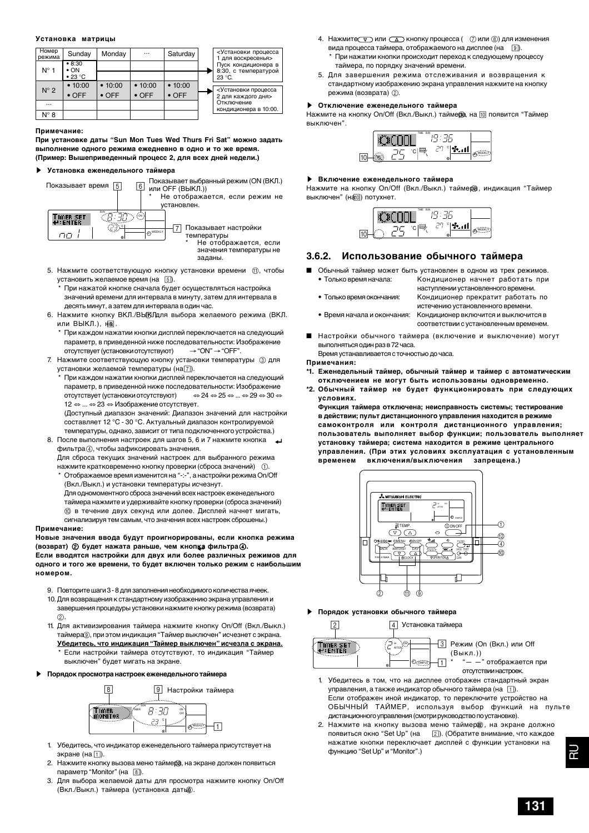### **Установка матрицы**

| Номер<br>режима | Sunday                 | Monday        |               | Saturday      | <Установки процесса<br>1 для воскресенья>   |
|-----------------|------------------------|---------------|---------------|---------------|---------------------------------------------|
| $N^{\circ}$ 1   | • 8:30<br>$\bullet$ ON |               |               |               | Пуск кондиционера в<br>8:30, с температурой |
|                 | $\bullet$ 23 °C        |               |               |               | $23 °C$ .                                   |
|                 | • 10:00                | • 10:00       | • 10:00       | • 10:00       |                                             |
| $N^{\circ}$ 2   | $\bullet$ OFF          | $\bullet$ OFF | $\bullet$ OFF | $\bullet$ OFF | <Установки процесса<br>2 для каждого дня>   |
|                 |                        |               |               |               | Отключение<br>кондиционера в 10:00.         |
| N° 8            |                        |               |               |               |                                             |

#### **Примечание:**

**При установке даты "Sun Mon Tues Wed Thurs Fri Sat" можно задать выполнение одного режима ежедневно в одно и то же время. (Пример: Вышеприведенный процесс 2, для всех дней недели.)**

### s **Установка еженедельного таймера**



заданы.

- 5. Нажмите соответствующую кнопку установки времени  $\circled{1}$ , чтобы установить желаемое время (на 5).
	- При нажатой кнопке сначала будет осуществляться настройка значений времени для интервала в минуту, затем для интервала в десять минут, а затем для интервала в один час.
- 6. Нажмите кнопку ВКЛ./ВЫКЛдля выбора желаемого режима (ВКЛ. или  $B$ ЫКЛ.), н $\overline{a}$ .
	- \* При каждом нажатии кнопки дисплей переключается на следующий параметр, в приведенной ниже последовательности: Изображение<br>отсутствует (установки отсутствуют)  $\rightarrow$  "ON"  $\rightarrow$  "OFF". отсутствует (установки отсутствуют)
- 7. Нажмите соответствующую кнопку установки температуры 3 для установки желаемой температуры (на 7).
	- При каждом нажатии кнопки дисплей переключается на следующий параметр, в приведенной ниже последовательности: Изображение отсутствует (установки отсутствуют) ⇔24 ⇔25 ⇔... ⇔29 ⇔30 ⇔ 12 ⇔ ... ⇔23 ⇔ Изображение отсутствует.
- (Доступный диапазон значений: Диапазон значений для настройки составляет 12 °C - 30 °C. Актуальный диапазон контролируемой температуры, однако, зависит от типа подключенного устройства.)
- 8. После выполнения настроек для шагов 5, 6 и 7 нажмите кнопка фильтра 4, чтобы зафиксировать значения. Для сброса текущих значений настроек для выбранного режима

нажмите кратковременно кнопку проверки (сброса значений) 1. \* Отображаемое время изменится на "-:-", а настройки режима On/Off

(Вкл./Выкл.) и установки температуры исчезнут. Для одномоментного сброса значений всех настроек еженедельного таймера нажмите и удерживайте кнопку проверки (сброса значений) 0 в течение двух секунд или долее. Дисплей начнет мигать, сигнализируя тем самым, что значения всех настроек сброшены.)

#### **Примечание:**

**Новые значения ввода будут проигнорированы, если кнопка режима (возврат)** 2 **будет нажата раньше, чем кнопка фильтра** 4**. Если вводятся настройки для двух или более различных режимов для одного и того же времени, то будет включен только режим с наибольшим номером.**

- 9. Повторите шаги 3 8 для заполнения необходимого количества ячеек.
- 10.Для возвращения к стандартному изображению экрана управления и завершения процедуры установки нажмите кнопку режима (возврата)  $(2)$
- 11. Для активизирования таймера нажмите кнопку On/Off (Вкл./Выкл.) таймера 9, при этом индикация "Таймер выключен" исчезнет с экрана. **Убедитесь, что индикация "Таймер выключен" исчезла с экрана.** Если настройки таймера отсутствуют, то индикация "Таймер выключен" будет мигать на экране.
- s **Порядок просмотра настроек еженедельного таймера**



- 1. Убедитесь, что индикатор еженедельного таймера присутствует на экране (на 1).
- 2. Нажмите кнопку вызова меню таймера, на экране должен появиться параметр "Monitor" (на  $\boxed{8}$ ).
- 3. Для выбора желаемой даты для просмотра нажмите кнопку On/Off (Вкл./Выкл.) таймера (установка дать ).
- 4. Нажмите $\nabla$  или  $\Delta$  кнопку процесса  $( \nabla \times \mathbb{R}^n)$  для изменения вида процесса таймера, отображаемого на дисплее (на  $\boxed{9}$ ). \* При нажатии кнопки происходит переход к следующему процессу
	- таймера, по порядку значений времени.
- 5. Для завершения режима отслеживания и возвращения к стандартному изображению экрана управления нажмите на кнопку режима (возврата)  $(2)$ .

### s **Отключение еженедельного таймера**

нажмите на кнопку On/Off (Вкл./Выкл.) таймера на <sup>10</sup> появится "Таймер выключен".

|   | TIME SUN |   |  |
|---|----------|---|--|
| _ |          | ◉ |  |

#### **• Включение еженедельного таймера**

Нажмите на кнопку On/Off (Вкл./Выкл.) таймера, индикация "Таймер выключен" (на 0) потухнет.

|  | <b>TIME SUN</b> |              |  |
|--|-----------------|--------------|--|
|  | ٢.<br>۰<br>⌒    | Dί<br>u<br>◉ |  |

### **3.6.2. Использование обычного таймера**

- Обычный таймер может быть установлен в одном из трех режимов. • Только время начала: Кондиционер начнет работать при
	- наступлении установленного времени. • Только время окончания: Кондиционер прекратит работать по
	- истечению установленного времени. • Время начала и окончания: Кондиционер включится и выключится в соответствии с установленным временем.
- Настройки обычного таймера (включение и выключение) могут выполняться один раз в 72 часа.

Время устанавливается с точностью до часа.

#### **Примечания:**

- **\*1. Еженедельный таймер, обычный таймер и таймер с автоматическим отключением не могут быть использованы одновременно.**
- **\*2. Обычный таймер не будет функционировать при следующих условиях.**

**Функция таймера отключена; неисправность системы; тестирование в действии; пульт дистанционного управления находится в режиме самоконтроля или контроля дистанционного управления; пользователь выполняет выбор функции; пользователь выполняет установку таймера; система находится в режиме центрального управления. (При этих условиях эксплуатация с установленным временем включения/выключения запрещена.)**



s **Порядок установки обычного таймера**



3 Режим (On (Вкл.) или Off  $" - "$  отображается при

- 1. Убедитесь в том, что на дисплее отображен стандартный экран управления, а также индикатор обычного таймера (на 1). Если отображен иной индикатор, то переключите устройство на ОБЫЧНЫЙ ТАЙМЕР, используя выбор функций на пульте дистанционного управления (смотри руководство по установке).
- 2. Нажмите на кнопку вызова меню таймер , на экране должно появиться окно "Set Up" (на 2). (Обратите внимание, что каждое нажатие кнопки переключает дисплей с функции установки на функцию "Set Up" и "Monitor".)

RU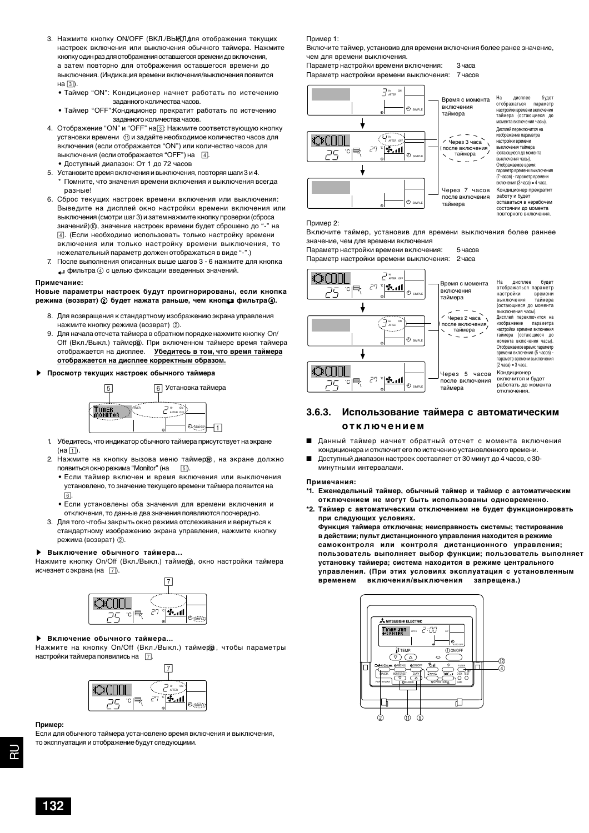- 3. Нажмите кнопку ON/OFF (ВКЛ./ВЫЮЛдля отображения текущих настроек включения или выключения обычного таймера. Нажмите кнопку один раз для отображения оставшегося времени до включения, а затем повторно для отображения оставшегося времени до выключения. (Индикация времени включения/выключения появится на 3).
	- Таймер "ON": Кондиционер начнет работать по истечению заданного количества часов.
	- Таймер "OFF":Кондиционер прекратит работать по истечению заданного количества часов.
- 4. Отображение "ON" и "OFF" на 3: Нажмите соответствующую кнопку установки времени  $\left(\text{f}\right)$  и задайте необходимое количество часов для включения (если отображается "ON") или количество часов для выключения (если отображается "ОFF") на  $\boxed{4}$ . • Доступный диапазон: От 1 до 72 часов
- 5. Установите время включения и выключения, повторяя шаги 3 и 4. \* Помните, что значения времени включения и выключения всегда разные!
- 6. Сброс текущих настроек времени включения или выключения: Выведите на дисплей окно настройки времени включения или выключения (смотри шаг 3) и затем нажмите кнопку проверки (сброса значений) ®, значение настроек времени будет сброшено до "-" на 4. (Если необходимо использовать только настройку времени включения или только настройку времени выключения, то нежелательный параметр должен отображаться в виде "-".)
- 7. После выполнения описанных выше шагов 3 6 нажмите для кнопка фильтра 4 с целью фиксации введенных значений.

#### **Примечание:**

**Новые параметры настроек будут проигнорированы, если кнопка режима (возврат)** 2 **будет нажата раньше, чем кнопка фильтра** 4**.**

- 8. Для возвращения к стандартному изображению экрана управления нажмите кнопку режима (возврат)  $(2)$ .
- 9. Для начала отсчета таймера в обратном порядке нажмите кнопку On/ Off (Вкл./Выкл.) таймера. При включенном таймере время таймера отображается на дисплее. **Убедитесь в том, что время таймера отображается на дисплее корректным образом.**
- s **Просмотр текущих настроек обычного таймера**



- 1. Убедитесь, что индикатор обычного таймера присутствует на экране  $(Ha \nightharpoonup)$
- 2. Нажмите на кнопку вызова меню таймер , на экране должно появиться окно режима "Monitor" (на [5].
	- Если таймер включен и время включения или выключения установлено, то значение текущего времени таймера появится на  $6.6$
	- Если установлены оба значения для времени включения и отключения, то данные два значения появляются поочередно.
- 3. Для того чтобы закрыть окно режима отслеживания и вернуться к стандартному изображению экрана управления, нажмите кнопку режима (возврат) (2).

#### s **Выключение обычного таймера...**

Нажмите кнопку On/Off (Вкл./Выкл.) таймера, окно настройки таймера исчезнет с экрана (на  $\boxed{7}$ ).



#### **Включение обычного таймера...**

Нажмите на кнопку On/Off (Вкл./Выкл.) таймера, чтобы параметры настройки таймера появились на  $\boxed{7}$ .



### **Пример:**

Если для обычного таймера установлено время включения и выключения, то эксплуатация и отображение будут следующими.

Пример 1:

Включите таймер, установив для времени включения более ранее значение, чем для времени выключения.

Параметр настройки времени включения: 3 часа

Параметр настройки времени выключения: 7 часов



#### Пример 2:

Включите таймер, установив для времени выключения более раннее значение, чем для времени включения

Параметр настройки времени включения: 5 часов

Параметр настройки времени выключения: 2 часа



### **3.6.3. Использование таймера с автоматическим отключением**

- Данный таймер начнет обратный отсчет с момента включения кондиционера и отключит его по истечению установленного времени.
- Доступный диапазон настроек составляет от 30 минут до 4 часов, с 30минутными интервалами.

#### **Примечания:**

- **\*1. Еженедельный таймер, обычный таймер и таймер с автоматическим отключением не могут быть использованы одновременно.**
- **\*2. Таймер с автоматическим отключением не будет функционировать при следующих условиях. Функция таймера отключена; неисправность системы; тестирование в действии; пульт дистанционного управления находится в режиме**

**самоконтроля или контроля дистанционного управления; пользователь выполняет выбор функции; пользователь выполняет установку таймера; система находится в режиме центрального управления. (При этих условиях эксплуатация с установленным временем включения/выключения запрещена.)**

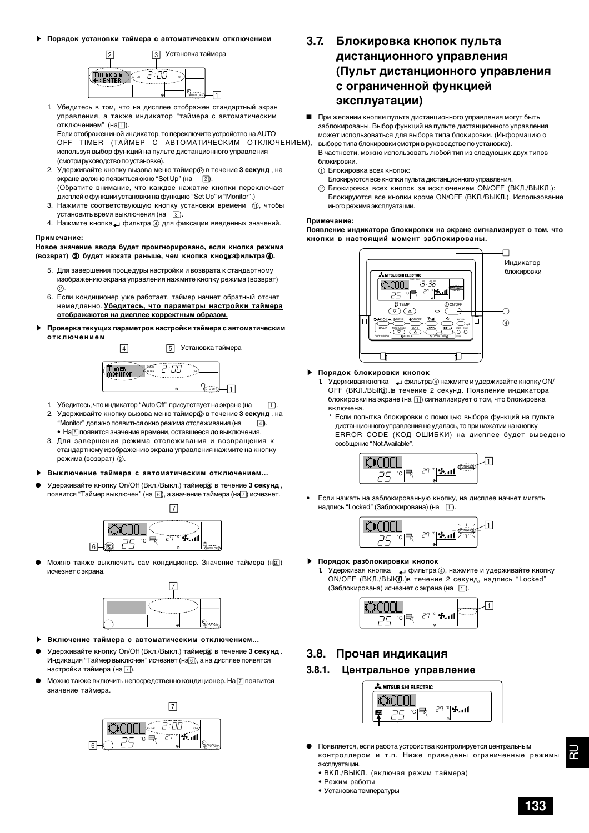s **Порядок установки таймера с автоматическим отключением**



1. Убедитесь в том, что на дисплее отображен стандартный экран управления, а также индикатор "таймера с автоматическим отключением"  $(Ha_1)$ . Если отображен иной индикатор, то переключите устройство на AUTO

OFF TIMER (ТАЙМЕР С АВТОМАТИЧЕСКИМ ОТКЛЮЧЕНИЕМ), используя выбор функций на пульте дистанционного управления (смотри руководство по установке).

- 2. Удерживайте кнопку вызова меню таймера в течение 3 секунд, на экране должно появиться окно "Set Up" (на  $\boxed{2}$ ). (Обратите внимание, что каждое нажатие кнопки переключает дисплей с функции установки на функцию "Set Up" и "Monitor".)
- 3. Нажмите соответствующую кнопку установки времени  $\circled{0}$ , чтобы
- установить время выключения (на  $\overline{3}$ ). 4. Нажмите кнопка фильтра 4 для фиксации введенных значений.

#### **Примечание:**

### **Новое значение ввода будет проигнорировано, если кнопка режима (возврат)** 2 **будет нажата раньше, чем кнопка кнопка фильтра** 4**.**

- 5. Для завершения процедуры настройки и возврата к стандартному изображению экрана управления нажмите кнопку режима (возврат) 2.
- 6. Если кондиционер уже работает, таймер начнет обратный отсчет немедленно. **Убедитесь, что параметры настройки таймера отображаются на дисплее корректным образом.**
- s **Проверка текущих параметров настройки таймера с автоматическим отключением**



- 1. Убедитесь, что индикатор "Auto Off" присутствует на экране (на 1).
- 2. Удерживайте кнопку вызова меню таймера в течение 3 секунд, на "Monitor" должно появиться окно режима отслеживания (на  $\boxed{4}$ ). • На 5 появится значение времени, оставшееся до выключения.
- 3. Для завершения режима отслеживания и возвращения к стандартному изображению экрана управления нажмите на кнопку режима (возврат)  $(2)$ .
- s **Выключение таймера с автоматическим отключением...**
- Удерживайте кнопку On/Off (Вкл./Выкл.) таймера в течение 3 секунд, появится "Таймер выключен" (на  $\lceil 6 \rceil$ ), а значение таймера (на $\lceil 7 \rceil$ ) исчезнет.



Можно также выключить сам кондиционер. Значение таймера (на) исчезнет с экрана.



- **Включение таймера с автоматическим отключением...**
- Удерживайте кнопку On/Off (Вкл./Выкл.) таймер<sup>а</sup> в течение 3 секунд. Индикация "Таймер выключен" исчезнет (на 6), а на дисплее появятся настройки таймера (на 7).
- Можно также включить непосредственно кондиционер. На  $\boxed{7}$  появится значение таймера.



### **3.7. Блокировка кнопок пульта дистанционного управления (Пульт дистанционного управления с ограниченной функцией эксплуатации)**

■ При желании кнопки пульта дистанционного управления могут быть заблокированы. Выбор функций на пульте дистанционного управления может использоваться для выбора типа блокировки. (Информацию о выборе типа блокировки смотри в руководстве по установке).

В частности, можно использовать любой тип из следующих двух типов блокировки.

- 1 Блокировка всех кнопок:
- Блокируются все кнопки пульта дистанционного управления.
- 2 Блокировка всех кнопок за исключением ON/OFF (ВКЛ./ВЫКЛ.): Блокируются все кнопки кроме ON/OFF (ВКЛ./ВЫКЛ.). Использование иного режима эксплуатации.

#### **Примечание:**

**Появление индикатора блокировки на экране сигнализирует о том, что кнопки в настоящий момент заблокированы.**



### s **Порядок блокировки кнопок**

- 1. Удерживая кнопка هله фильтра 4 нажмите и удерживайте кнопку ON/ ОГГ (ВКЛ./ВЫКЛ.) в течение 2 секунд. Появление индикатора блокировки на экране (на 1) сигнализирует о том, что блокировка включена.
	- \* Если попытка блокировки с помощью выбора функций на пульте дистанционного управления не удалась, то при нажатии на кнопку ERROR CODE (КОД ОШИБКИ) на дисплее будет выведено сообщение "Not Available".



• Если нажать на заблокированную кнопку, на дисплее начнет мигать надпись "Locked" (Заблокирована) (на [1]).



- s **Порядок разблокировки кнопок**
	- 1. Удерживая кнопка фильтра 4, нажмите и удерживайте кнопку ON/OFF (ВКЛ./ВЫКЛ.)в течение 2 секунд, надпись "Locked" (Заблокирована) исчезнет с экрана (на  $\overline{11}$ ).



### **3.8. Прочая индикация**

### **3.8.1. Центральное управление**



- Появляется, если работа устроиства контролируется центральным контроллером и т.п. Ниже приведены ограниченные режимы эксплуатации.
- ВКЛ./ВЫКЛ. (включая режим таймера)
- Режим работы
- Установка температуры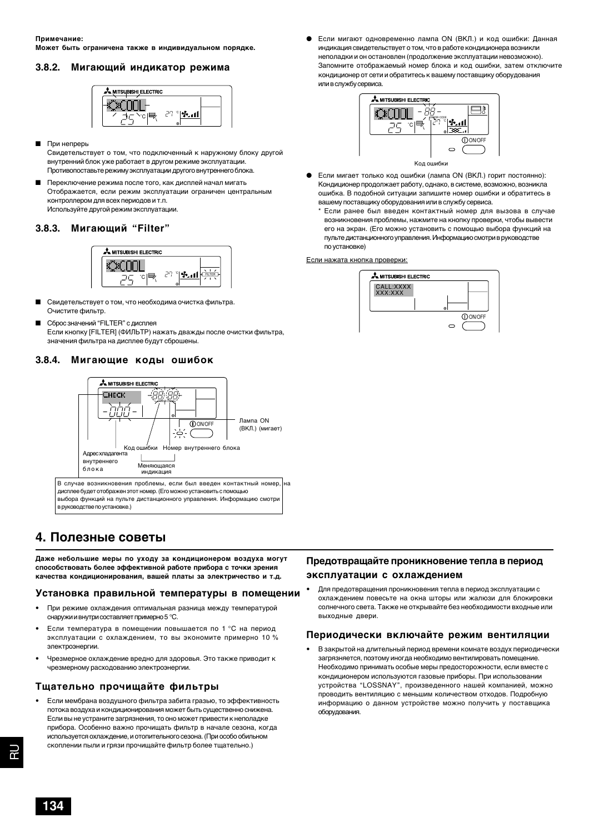### **3.8.2. Мигающий индикатор режима**



- При непреры
- Свидетельствует о том, что подключенный к наружному блоку другой внутренний блок уже работает в другом режиме эксплуатации. Противопоставьте режиму эксплуатации другого внутреннего блока.
- Переключение режима после того, как дисплей начал мигать Отображается, если режим эксплуатации ограничен центральным контроллером для всех периодов и т.п. Используйте другой режим эксплуатации.

### **3.8.3. Мигающий "Filter"**



- Свидетельствует о том, что необходима очистка фильтра. Очистите фильтр.
- Сброс значений "FILTER" с дисплея Если кнопку [FILTER] (ФИЛЬТР) нажать дважды после очистки фильтра, значения фильтра на дисплее будут сброшены.

### **3.8.4. Мигающие коды ошибок**



### **4. Полезные советы**

**Даже небольшие меры по уходу за кондиционером воздуха могут способствовать более эффективной работе прибора с точки зрения качества кондиционирования, вашей платы за электричество и т.д.**

### **Установка правильной температуры в помещении**

- При режиме охлаждения оптимальная разница между температурой снаружи и внутри составляет примерно 5 °С.
- Если температура в помещении повышается по 1 °С на период эксплуатации с охлаждением, то вы экономите примерно 10 % электроэнергии.
- Чрезмерное охлаждение вредно для здоровья. Это также приводит к чрезмерному расходованию электроэнергии.

### **Тщательно прочищайте фильтры**

• Если мембрана воздушного фильтра забита гразью, то эффективность потока воздуха и кондиционирования может быть существенно снижена. Если вы не устраните загрязнения, то оно может привести к неполадке прибора. Особенно важно прочищать фильтр в начале сезона, когда используется охлаждение, и отопительного сезона. (При особо обильном скоплении пыли и грязи прочищайте фильтр более тщательно.)

Если мигают одновременно лампа ON (ВКЛ.) и код ошибки: Данная индикация свидетельствует о том, что в работе кондиционера возникли неполадки и он остановлен (продолжение эксплуатации невозможно). Запомните отображаемый номер блока и код ошибки, затем отключите кондиционер от сети и обратитесь к вашему поставщику оборудования или в службу сервиса.



- Если мигает только код ошибки (лампа ON (ВКЛ.) горит постоянно): Кондиционер продолжает работу, однако, в системе, возможно, возникла ошибка. В подобной ситуации запишите номер ошибки и обратитесь в вашему поставщику оборудования или в службу сервиса.
	- \* Если ранее был введен контактный номер для вызова в случае возникновения проблемы, нажмите на кнопку проверки, чтобы вывести его на экран. (Его можно установить с помощью выбора функций на пульте дистанционного управления. Информацию смотри в руководстве по установке)

Если нажата кнопка проверки:



### **Предотвращайте проникновение тепла в период эксплуатации с охлаждением**

• Для предотвращения проникновения тепла в период эксплуатации с охлаждением повесьте на окна шторы или жалюзи для блокировки солнечного света. Также не открывайте без необходимости входные или выходные двери.

### **Периодически включайте режим вентиляции**

• В закрытой на длительный период времени комнате воздух периодически загрязняется, поэтому иногда необходимо вентилировать помещение. Необходимо принимать особые меры предосторожности, если вместе с кондиционером используются газовые приборы. При использовании устройства "LOSSNAY", произведенного нашей компанией, можно проводить вентиляцию с меньшим количеством отходов. Подробную информацию о данном устройстве можно получить у поставщика оборудования.

**134**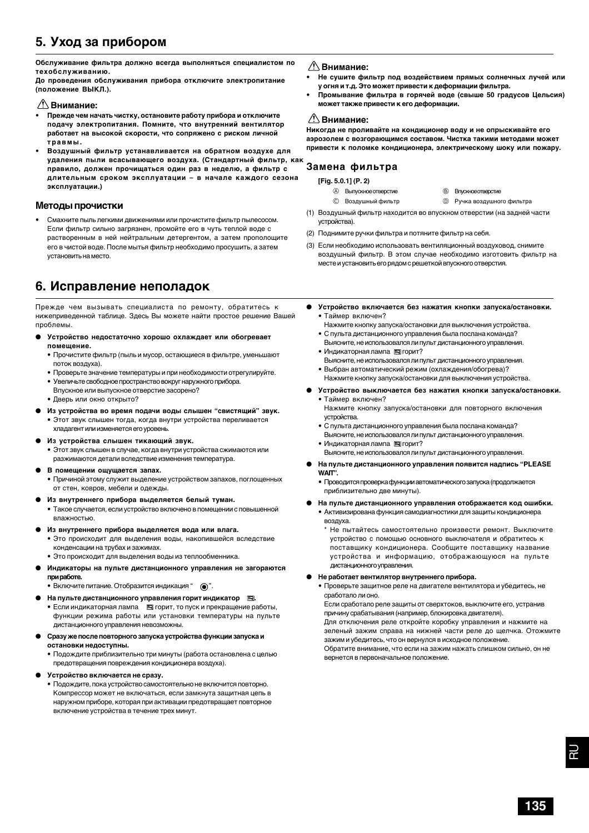### **5. Уход за прибором**

**Обслуживание фильтра должно всегда выполняться специалистом по техобслуживанию.**

**До проведения обслуживания прибора отключите электропитание (положение ВЫКЛ.).**

### **Внимание:**

- **• Прежде чем начать чистку, остановите работу прибора и отключите подачу электропитания. Помните, что внутренний вентилятор работает на высокой скорости, что сопряжено с риском личной травмы.**
- **• Воздушный фильтр устанавливается на обратном воздухе для удаления пыли всасывающего воздуха. (Стандартный фильтр, как правило, должен прочищаться один раз в неделю, а фильтр с длительным сроком эксплуатации – в начале каждого сезона эксплуатации.)**

### **Методы прочистки**

• Смахните пыль легкими движениями или прочистите фильтр пылесосом. Если фильтр сильно загрязнен, промойте его в чуть теплой воде с растворенным в ней нейтральным детергентом, а затем прополощите его в чистой воде. После мытья фильтр необходимо просушить, а затем установить на место.

### **6. Исправление неполадок**

Прежде чем вызывать специалиста по ремонту, обратитесь к нижеприведенной таблице. Здесь Вы можете найти простое решение Вашей проблемы.

- **Устройство недостаточно хорошо охлаждает или обогревает помещение.**
	- Прочистите фильтр (пыль и мусор, остающиеся в фильтре, уменьшают поток воздуха).
	- Проверьте значение температуры и при необходимости отрегулируйте.
	- Увеличьте свободное пространство вокруг наружного прибора.
	- Впускное или выпускное отверстие засорено?
	- Дверь или окно открыто?
- **Из устройства во время подачи воды слышен "свистящий" звук.**
- Этот звук слышен тогда, когда внутри устройства переливается хладагент или изменяется его уровень.
- **Из устройства слышен тикающий звук.**
	- Этот звук слышен в случае, когда внутри устройства сжимаются или разжимаются детали вследствие изменения температура.
- **В помещении ощущается запах.**
	- Причиной этому служит выделение устройством запахов, поглощенных от стен, ковров, мебели и одежды.
- **Из внутреннего прибора выделяется белый туман.**
- Такое случается, если устройство включено в помещении с повышенной влажностью.
- **Из внутреннего прибора выделяется вода или влага.**
	- Это происходит для выделения воды, накопившейся вследствие конденсации на трубах и зажимах.
- Это происходит для выделения воды из теплообменника. ● **Индикаторы на пульте дистанционного управления не загораются**

**при работе.** • Включите питание. Отобразится индикация " $\odot$ ".

- **На пульте дистанционного управления горит индикатор .**
- Если индикаторная лампа <br>  **Если индикаторная лампа** <br>  **Если индикаторная лампа** <br>  **Горит**, то пуск и прекращение работы, функции режима работы или установки температуры на пульте дистанционного управления невозможны.
- **Сразу же после повторного запуска устройства функции запуска и остановки недоступны.**
	- Подождите приблизительно три минуты (работа остановлена с целью предотвращения повреждения кондиционера воздуха).
- **Устройство включается не сразу.**

• Подождите, пока устройство самостоятельно не включится повторно. Компрессор может не включаться, если замкнута защитная цепь в наружном приборе, которая при активации предотвращает повторное включение устройства в течение трех минут.

### **Внимание:**

- **• Не сушите фильтр под воздействием прямых солнечных лучей или у огня и т.д. Это может привести к деформации фильтра.**
- **• Промывание фильтра в горячей воде (свыше 50 градусов Цельсия) может также привести к его деформации.**

### **Внимание:**

**Никогда не проливайте на кондиционер воду и не опрыскивайте его аэрозолем с возгорающимся составом. Чистка такими методами может привести к поломке кондиционера, электрическому шоку или пожару.**

### **Замена фильтра**

**[Fig. 5.0.1] (P. 2)**

- **A** Выпускное отверстие **B** Впускное отверстие
- © Воздушный фильтр <br>
© Ручка воздушного фильтра
- (1) Воздушный фильтр находится во впускном отверстии (на задней части устройства).
- (2) Поднимите ручки фильтра и потяните фильтр на себя.
- (3) Если необходимо использовать вентиляционный воздуховод, снимите воздушный фильтр. В этом случае необходимо изготовить фильтр на месте и установить его рядом с решеткой впускного отверстия.
- **Устройство включается без нажатия кнопки запуска/остановки.** • Таймер включен?
	- Нажмите кнопку запуска/остановки для выключения устройства. • С пульта дистанционного управления была послана команда?
	- Выясните, не использовался ли пульт дистанционного управления. • Индикаторная лампа В горит?
	- Выясните, не использовался ли пульт дистанционного управления. • Выбран автоматический режим (охлаждения/обогрева)?
	- Нажмите кнопку запуска/остановки для выключения устройства.
- **Устройство выключается без нажатия кнопки запуска/остановки.** • Таймер включен?
	- Нажмите кнопку запуска/остановки для повторного включения устройства.
	- С пульта дистанционного управления была послана команда? Выясните, не использовался ли пульт дистанционного управления.
	- Индикаторная лампа В горит?
	- Выясните, не использовался ли пульт дистанционного управления.
- **На пульте дистанционного управления появится надпись "PLEASE WAIT".**
	- Проводится проверка функции автоматического запуска (продолжается приблизительно две минуты).
- **На пульте дистанционного управления отображается код ошибки.** • Активизирована функция самодиагностики для защиты кондиционера воздуха.

\* Не пытайтесь самостоятельно произвести ремонт. Выключите устройство с помощью основного выключателя и обратитесь к поставщику кондиционера. Сообщите поставщику название устройства и информацию, отображающуюся на пульте дистанционного управления.

#### ● **Не работает вентилятор внутреннего прибора.**

• Проверьте защитное реле на двигателе вентилятора и убедитесь, не сработало ли оно.

Если сработало реле защиты от сверхтоков, выключите его, устранив причину срабатывания (например, блокировка двигателя). Для отключения реле откройте коробку управления и нажмите на зеленый зажим справа на нижней части реле до щелчка. Отожмите зажим и убедитесь, что он вернулся в исходное положение. Обратите внимание, что если на зажим нажать слишком сильно, он не вернется в первоначальное положение.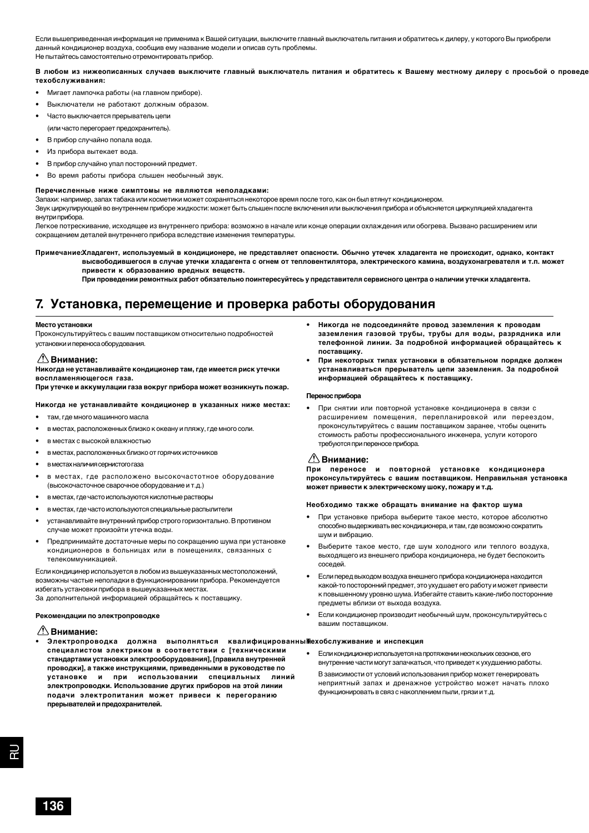Если вышеприведенная информация не применима к Вашей ситуации, выключите главный выключатель питания и обратитесь к дилеру, у которого Вы приобрели данный кондиционер воздуха, сообщив ему название модели и описав суть проблемы. Не пытайтесь самостоятельно отремонтировать прибор.

**В любом из нижеописанных случаев выключите главный выключатель питания и обратитесь к Вашему местному дилеру с просьбой о проведе техобслуживания:**

- Мигает лампочка работы (на главном приборе).
- Выключатели не работают должным образом.
- Часто выключается прерыватель цепи (или часто перегорает предохранитель).
- В прибор случайно попала вода.
- Из прибора вытекает вода.
- В прибор случайно упал посторонний предмет.
- Во время работы прибора слышен необычный звук.

#### **Перечисленные ниже симптомы не являются неполадками:**

Запахи: например, запах табака или косметики может сохраняться некоторое время после того, как он был втянут кондиционером.

Звук циркулирующей во внутреннем приборе жидкости: может быть слышен после включения или выключения прибора и объясняется циркуляцией хладагента внутри прибора.

Легкое потрескивание, исходящее из внутреннего прибора: возможно в начале или конце операции охлаждения или обогрева. Вызвано расширением или сокращением деталей внутреннего прибора вследствие изменения температуры.

**Примечание:Хладагент, используемый в кондиционере, не представляет опасности. Обычно утечек хладагента не происходит, однако, контакт высвободившегося в случае утечки хладагента с огнем от тепловентилятора, электрического камина, воздухонагревателя и т.п. может привести к образованию вредных веществ.**

**При проведении ремонтных работ обязательно поинтересуйтесь у представителя сервисного центра о наличии утечки хладагента.**

### **7. Установка, перемещение и проверка работы оборудования**

#### **Место установки**

Проконсультируйтесь с вашим поставщиком относительно подробностей установки и переноса оборудования.

### **Внимание:**

**Никогда не устанавливайте кондиционер там, где имеется риск утечки воспламеняющегося газа.**

**При утечке и аккумулации газа вокруг прибора может возникнуть пожар.**

#### **Никогда не устанавливайте кондиционер в указанных ниже местах:**

- там, где много машинного масла
- вместах, расположенных близко к океану и пляжу, где много соли.
- в местах с высокой влажностью
- вместах, расположенных близко от горячих источников
- вместах наличия сернистого газа
- в местах, где расположено высокочастотное оборудование (высокочасточное сварочное оборудование и т.д.)
- вместах, где часто используются кислотные растворы
- вместах, где часто используются специальные распылители
- устанавливайте внутренний прибор строго горизонтально. В противном случае может произойти утечка воды.
- Предпринимайте достаточные меры по сокращению шума при установке кондиционеров в больницах или в помещениях, связанных с телекоммуникацией.

Если кондицинер используется в любом из вышеуказанных местоположений, возможны частые неполадки в функционировании прибора. Рекомендуется избегать установки прибора в вышеуказанных местах. За дополнительной информацией обращайтесь к поставщику.

#### **Рекомендации по электропроводке**

### **Внимание:**

**• Электропроводка должна выполняться квалифицированным Техобслуживание и инспекция специалистом электриком в соответствии с [техническими стандартами установки электрооборудования], [правила внутренней проводки], а также инструкциями, приведенными в руководстве по установке и при использовании специальных линий электропроводки. Использование других приборов на этой линии подачи электропитания может привеси к перегоранию прерывателей и предохранителей.**

- **• Никогда не подсоединяйте провод заземления к проводам заземления газовой трубы, трубы для воды, разрядника или телефонной линии. За подробной информацией обращайтесь к поставщику.**
- **При некоторых типах установки в обязательном порядке должен устанавливаться прерыватель цепи заземления. За подробной информацией обращайтесь к поставщику.**

#### **Перенос прибора**

• При снятии или повторной установке кондиционера в связи с расширением помещения, перепланировкой или переездом, проконсультируйтесь с вашим поставщиком заранее, чтобы оценить стоимость работы профессионального инженера, услуги которого требуются при переносе прибора.

### **Внимание:**

**При переносе и повторной установке кондиционера проконсультируйтесь с вашим поставщиком. Неправильная установка может привести к электрическому шоку, пожару и т.д.**

#### **Необходимо также обращать внимание на фактор шума**

- При установке прибора выберите такое место, которое абсолютно способно выдерживать вес кондиционера, и там, где возможно сократить шум и вибрацию.
- Выберите такое место, где шум холодного или теплого воздуха, выходящего из внешнего прибора кондиционера, не будет беспокоить соседей.
- Если перед выходом воздуха внешнего прибора кондиционера находится какой-то посторонний предмет, это ухудшает его работу и может привести к повышенному уровню шума. Избегайте ставить какие-либо посторонние предметы вблизи от выхода воздуха.
- Если кондиционер производит необычный шум, проконсультируйтесь с вашим поставщиком.

• Если кондиционер используется на протяжении нескольких сезонов, его внутренние части могут запачкаться, что приведет к ухудшению работы. В зависимости от условий использования прибор может генерировать неприятный запах и дренажное устройство может начать плохо функционировать в связ с накоплением пыли, грязи и т.д.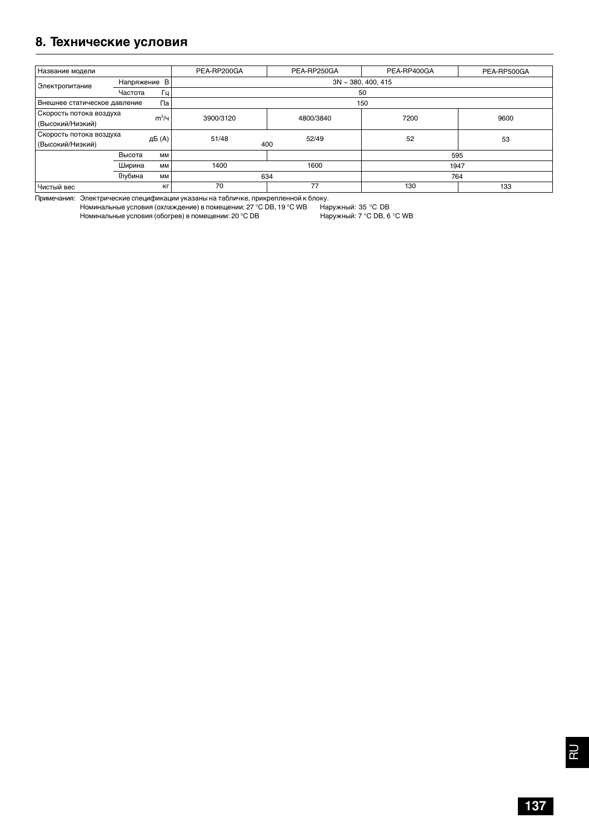### **8. Технические условия**

| Название модели                             |               |         | PEA-RP200GA             | PEA-RP250GA  | PEA-RP400GA | PEA-RP500GA |
|---------------------------------------------|---------------|---------|-------------------------|--------------|-------------|-------------|
| Электропитание                              | Напряжение В  |         | $3N \sim 380, 400, 415$ |              |             |             |
|                                             | Гц<br>Частота |         | 50                      |              |             |             |
| Па<br>Внешнее статическое давление          |               |         | 150                     |              |             |             |
| Скорость потока воздуха<br>(Высокий/Низкий) |               | $m^3/4$ | 3900/3120               | 4800/3840    | 7200        | 9600        |
| Скорость потока воздуха<br>(Высокий/Низкий) |               | дБ (A)  | 51/48                   | 52/49<br>400 | 52          | 53          |
|                                             | Высота        | MM      |                         |              | 595         |             |
|                                             | Ширина        | MM      | 1400                    | 1600         | 1947        |             |
|                                             | Глубина       | MM      | 634                     |              | 764         |             |
| Чистый вес                                  |               | KГ      | 70                      | 77           | 130         | 133         |

Примечания: Электрические спецификации указаны на табличке, прикрепленной к блоку.

Номинальные условия (охлаждение) в помещении: 27 °C DB, 19 °C WB Наружный: 35 °C DB Номинальные условия (обогрев) в помещении: 20 °С DB Наружный: 7 °С DB, 6 °С WB